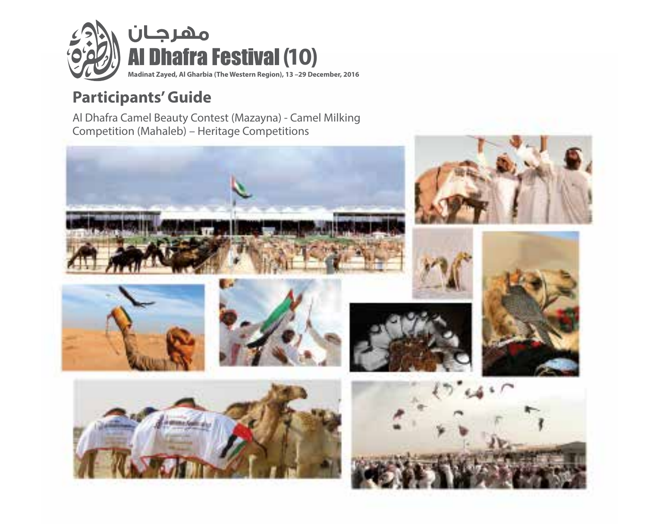

### **Participants' Guide**

Al Dhafra Camel Beauty Contest (Mazayna) - Camel Milking Competition (Mahaleb) – Heritage Competitions

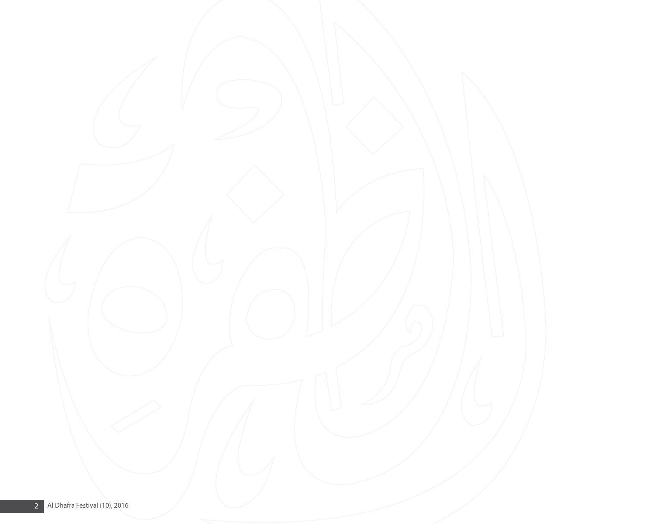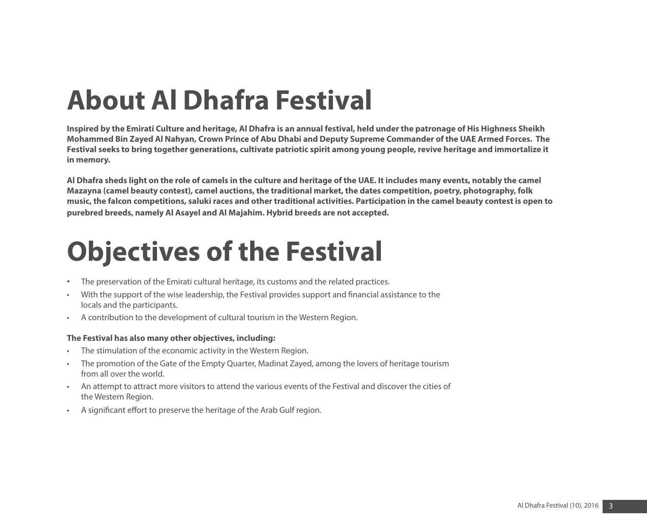# **About Al Dhafra Festival**

**Inspired by the Emirati Culture and heritage, Al Dhafra is an annual festival, held under the patronage of His Highness Sheikh Mohammed Bin Zayed Al Nahyan, Crown Prince of Abu Dhabi and Deputy Supreme Commander of the UAE Armed Forces. The Festival seeks to bring together generations, cultivate patriotic spirit among young people, revive heritage and immortalize it in memory.**

**Al Dhafra sheds light on the role of camels in the culture and heritage of the UAE. It includes many events, notably the camel Mazayna (camel beauty contest), camel auctions, the traditional market, the dates competition, poetry, photography, folk music, the falcon competitions, saluki races and other traditional activities. Participation in the camel beauty contest is open to purebred breeds, namely Al Asayel and Al Majahim. Hybrid breeds are not accepted.**

# **Objectives of the Festival**

- The preservation of the Emirati cultural heritage, its customs and the related practices.
- With the support of the wise leadership, the Festival provides support and financial assistance to the locals and the participants.
- A contribution to the development of cultural tourism in the Western Region.

#### **The Festival has also many other objectives, including:**

- The stimulation of the economic activity in the Western Region.
- The promotion of the Gate of the Empty Quarter, Madinat Zayed, among the lovers of heritage tourism from all over the world.
- An attempt to attract more visitors to attend the various events of the Festival and discover the cities of the Western Region.
- A significant effort to preserve the heritage of the Arab Gulf region.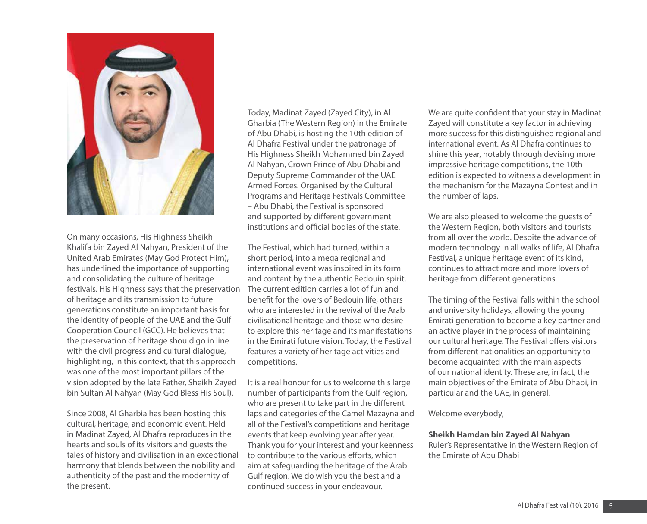

On many occasions, His Highness Sheikh Khalifa bin Zayed Al Nahyan, President of the United Arab Emirates (May God Protect Him), has underlined the importance of supporting and consolidating the culture of heritage festivals. His Highness says that the preservation of heritage and its transmission to future generations constitute an important basis for the identity of people of the UAE and the Gulf Cooperation Council (GCC). He believes that the preservation of heritage should go in line with the civil progress and cultural dialogue, highlighting, in this context, that this approach was one of the most important pillars of the vision adopted by the late Father, Sheikh Zayed bin Sultan Al Nahyan (May God Bless His Soul).

Since 2008, Al Gharbia has been hosting this cultural, heritage, and economic event. Held in Madinat Zayed, Al Dhafra reproduces in the hearts and souls of its visitors and guests the tales of history and civilisation in an exceptional harmony that blends between the nobility and authenticity of the past and the modernity of the present.

Today, Madinat Zayed (Zayed City), in Al Gharbia (The Western Region) in the Emirate of Abu Dhabi, is hosting the 10th edition of Al Dhafra Festival under the patronage of His Highness Sheikh Mohammed bin Zayed Al Nahyan, Crown Prince of Abu Dhabi and Deputy Supreme Commander of the UAE Armed Forces. Organised by the Cultural Programs and Heritage Festivals Committee – Abu Dhabi, the Festival is sponsored and supported by different government institutions and official bodies of the state.

The Festival, which had turned, within a short period, into a mega regional and international event was inspired in its form and content by the authentic Bedouin spirit. The current edition carries a lot of fun and benefit for the lovers of Bedouin life, others who are interested in the revival of the Arab civilisational heritage and those who desire to explore this heritage and its manifestations in the Emirati future vision. Today, the Festival features a variety of heritage activities and competitions.

It is a real honour for us to welcome this large number of participants from the Gulf region, who are present to take part in the different laps and categories of the Camel Mazayna and all of the Festival's competitions and heritage events that keep evolving year after year. Thank you for your interest and your keenness to contribute to the various efforts, which aim at safeguarding the heritage of the Arab Gulf region. We do wish you the best and a continued success in your endeavour.

We are quite confident that your stay in Madinat Zayed will constitute a key factor in achieving more success for this distinguished regional and international event. As Al Dhafra continues to shine this year, notably through devising more impressive heritage competitions, the 10th edition is expected to witness a development in the mechanism for the Mazayna Contest and in the number of laps.

We are also pleased to welcome the guests of the Western Region, both visitors and tourists from all over the world. Despite the advance of modern technology in all walks of life, Al Dhafra Festival, a unique heritage event of its kind, continues to attract more and more lovers of heritage from different generations.

The timing of the Festival falls within the school and university holidays, allowing the young Emirati generation to become a key partner and an active player in the process of maintaining our cultural heritage. The Festival offers visitors from different nationalities an opportunity to become acquainted with the main aspects of our national identity. These are, in fact, the main objectives of the Emirate of Abu Dhabi, in particular and the UAE, in general.

Welcome everybody,

#### **Sheikh Hamdan bin Zayed Al Nahyan**

Ruler's Representative in the Western Region of the Emirate of Abu Dhabi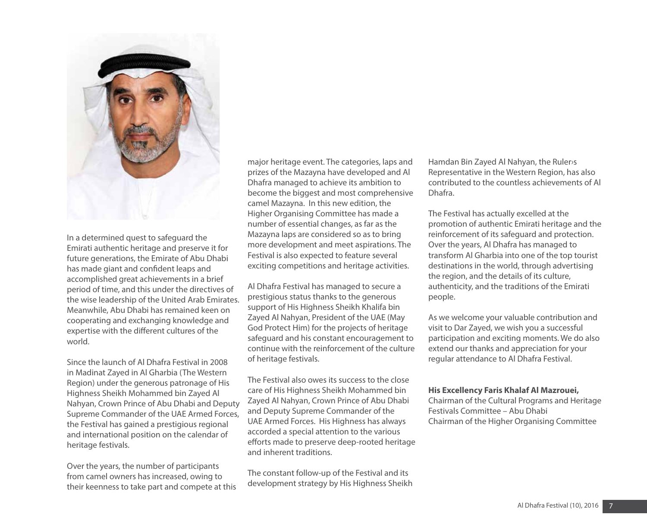

In a determined quest to safeguard the Emirati authentic heritage and preserve it for future generations, the Emirate of Abu Dhabi has made giant and confident leaps and accomplished great achievements in a brief period of time, and this under the directives of the wise leadership of the United Arab Emirates. Meanwhile, Abu Dhabi has remained keen on cooperating and exchanging knowledge and expertise with the different cultures of the world.

Since the launch of Al Dhafra Festival in 2008 in Madinat Zayed in Al Gharbia (The Western Region) under the generous patronage of His Highness Sheikh Mohammed bin Zayed Al Nahyan, Crown Prince of Abu Dhabi and Deputy Supreme Commander of the UAE Armed Forces, the Festival has gained a prestigious regional and international position on the calendar of heritage festivals.

Over the years, the number of participants from camel owners has increased, owing to their keenness to take part and compete at this

major heritage event. The categories, laps and prizes of the Mazayna have developed and Al Dhafra managed to achieve its ambition to become the biggest and most comprehensive camel Mazayna. In this new edition, the Higher Organising Committee has made a number of essential changes, as far as the Mazayna laps are considered so as to bring more development and meet aspirations. The Festival is also expected to feature several exciting competitions and heritage activities.

Al Dhafra Festival has managed to secure a prestigious status thanks to the generous support of His Highness Sheikh Khalifa bin Zayed Al Nahyan, President of the UAE (May God Protect Him) for the projects of heritage safeguard and his constant encouragement to continue with the reinforcement of the culture of heritage festivals.

The Festival also owes its success to the close care of His Highness Sheikh Mohammed bin Zayed Al Nahyan, Crown Prince of Abu Dhabi and Deputy Supreme Commander of the UAE Armed Forces. His Highness has always accorded a special attention to the various efforts made to preserve deep-rooted heritage and inherent traditions.

The constant follow-up of the Festival and its development strategy by His Highness Sheikh Hamdan Bin Zayed Al Nahyan, the Ruler›s Representative in the Western Region, has also contributed to the countless achievements of Al Dhafra.

The Festival has actually excelled at the promotion of authentic Emirati heritage and the reinforcement of its safeguard and protection. Over the years, Al Dhafra has managed to transform Al Gharbia into one of the top tourist destinations in the world, through advertising the region, and the details of its culture, authenticity, and the traditions of the Emirati people.

As we welcome your valuable contribution and visit to Dar Zayed, we wish you a successful participation and exciting moments. We do also extend our thanks and appreciation for your regular attendance to Al Dhafra Festival.

#### **His Excellency Faris Khalaf Al Mazrouei,**

Chairman of the Cultural Programs and Heritage Festivals Committee – Abu Dhabi Chairman of the Higher Organising Committee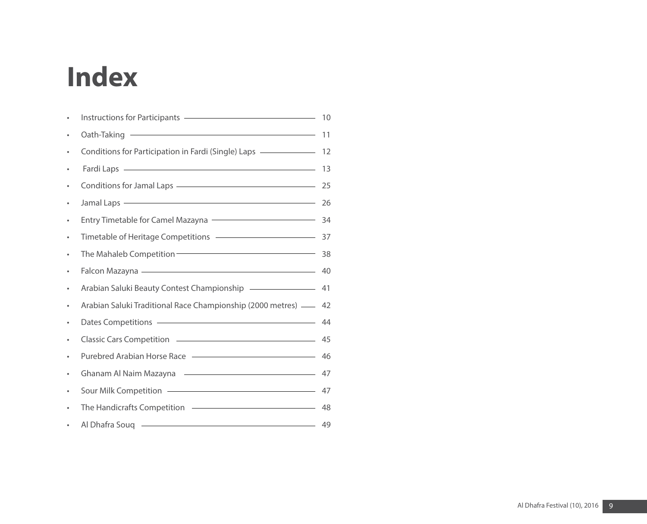# **Index**

|           | Instructions for Participants ————————————————————                                                                                                                                                                                   | 10 |
|-----------|--------------------------------------------------------------------------------------------------------------------------------------------------------------------------------------------------------------------------------------|----|
|           | Oath-Taking <u>- and the contract of the contract of the contract of the contract of the contract of the contract of the contract of the contract of the contract of the contract of the contract of the contract of the contrac</u> | 11 |
|           | Conditions for Participation in Fardi (Single) Laps —————————————————————————————                                                                                                                                                    |    |
|           |                                                                                                                                                                                                                                      |    |
| $\bullet$ | Conditions for Jamal Laps - 25                                                                                                                                                                                                       |    |
| ٠         | Jamal Laps 26                                                                                                                                                                                                                        |    |
|           | Entry Timetable for Camel Mazayna - The Controller Mass 34                                                                                                                                                                           |    |
| $\bullet$ | Timetable of Heritage Competitions - 37                                                                                                                                                                                              |    |
|           | The Mahaleb Competition 38                                                                                                                                                                                                           |    |
|           | Falcon Mazayna - The Contract of the Contract of the Contract of the Contract of the Contract of the Contract of the Contract of the Contract of the Contract of the Contract of the Contract of the Contract of the Contract        | 40 |
|           | Arabian Saluki Beauty Contest Championship - 41                                                                                                                                                                                      |    |
|           | Arabian Saluki Traditional Race Championship (2000 metres) __ 42                                                                                                                                                                     |    |
|           | Dates Competitions <u>- and the community of the contract of the contract of the contract of the contract of the contract of the contract of the contract of the contract of the contract of the contract of the contract of the</u> | 44 |
|           |                                                                                                                                                                                                                                      |    |
|           | Purebred Arabian Horse Race - 46                                                                                                                                                                                                     |    |
| $\bullet$ |                                                                                                                                                                                                                                      |    |
| ٠         | Sour Milk Competition ––––––––––––––––––––––––––––––––––47                                                                                                                                                                           |    |
|           | The Handicrafts Competition ———————————————————— 48                                                                                                                                                                                  |    |
|           | Al Dhafra Souq - 49                                                                                                                                                                                                                  |    |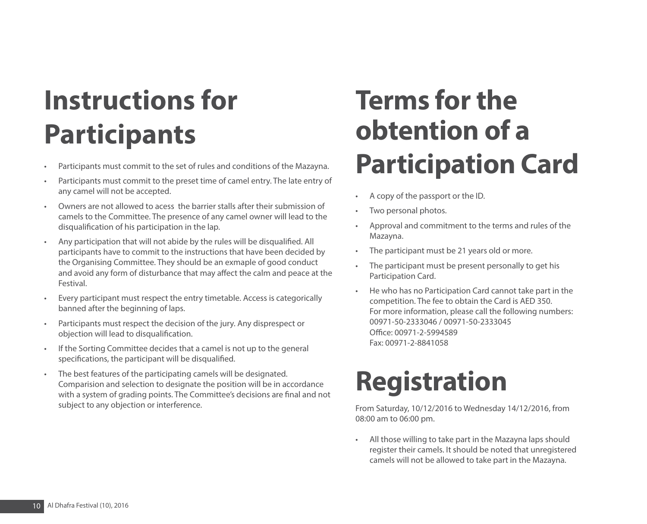# **Instructions for Participants**

- Participants must commit to the set of rules and conditions of the Mazayna.
- Participants must commit to the preset time of camel entry. The late entry of any camel will not be accepted.
- Owners are not allowed to acess the barrier stalls after their submission of camels to the Committee. The presence of any camel owner will lead to the disqualification of his participation in the lap.
- Any participation that will not abide by the rules will be disqualified. All participants have to commit to the instructions that have been decided by the Organising Committee. They should be an exmaple of good conduct and avoid any form of disturbance that may affect the calm and peace at the Festival.
- Every participant must respect the entry timetable. Access is categorically banned after the beginning of laps.
- Participants must respect the decision of the jury. Any disprespect or objection will lead to disqualification.
- If the Sorting Committee decides that a camel is not up to the general specifications, the participant will be disqualified.
- The best features of the participating camels will be designated. Comparision and selection to designate the position will be in accordance with a system of grading points. The Committee's decisions are final and not subject to any objection or interference.

# **Terms for the obtention of a Participation Card**

- A copy of the passport or the ID.
- Two personal photos.
- Approval and commitment to the terms and rules of the Mazayna.
- The participant must be 21 years old or more.
- The participant must be present personally to get his Participation Card.
- He who has no Participation Card cannot take part in the competition. The fee to obtain the Card is AED 350. For more information, please call the following numbers: 00971-50-2333046 / 00971-50-2333045 Office: 00971-2-5994589 Fax: 00971-2-8841058

# **Registration**

From Saturday, 10/12/2016 to Wednesday 14/12/2016, from 08:00 am to 06:00 pm.

• All those willing to take part in the Mazayna laps should register their camels. It should be noted that unregistered camels will not be allowed to take part in the Mazayna.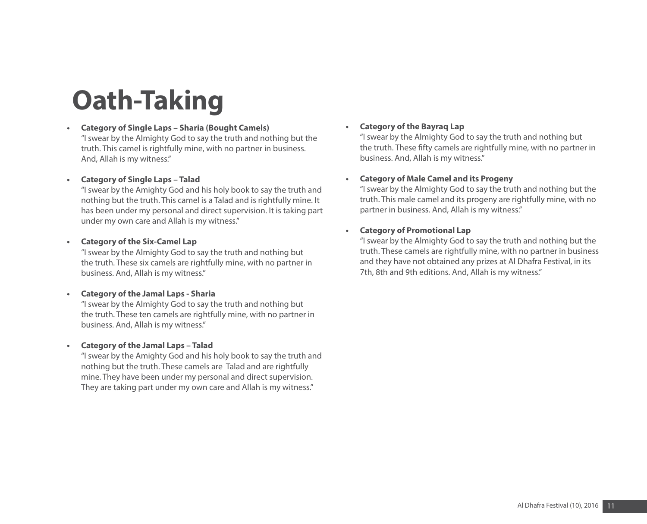# **Oath-Taking**

### **• Category of Single Laps – Sharia (Bought Camels)**

"I swear by the Almighty God to say the truth and nothing but the truth. This camel is rightfully mine, with no partner in business. And, Allah is my witness."

### **• Category of Single Laps – Talad**

"I swear by the Amighty God and his holy book to say the truth and nothing but the truth. This camel is a Talad and is rightfully mine. It has been under my personal and direct supervision. It is taking part under my own care and Allah is my witness."

#### **• Category of the Six-Camel Lap**

"I swear by the Almighty God to say the truth and nothing but the truth. These six camels are rightfully mine, with no partner in business. And, Allah is my witness."

### **• Category of the Jamal Laps - Sharia**

"I swear by the Almighty God to say the truth and nothing but the truth. These ten camels are rightfully mine, with no partner in business. And, Allah is my witness."

### **• Category of the Jamal Laps – Talad**

"I swear by the Amighty God and his holy book to say the truth and nothing but the truth. These camels are Talad and are rightfully mine. They have been under my personal and direct supervision. They are taking part under my own care and Allah is my witness."

### **• Category of the Bayraq Lap**

"I swear by the Almighty God to say the truth and nothing but the truth. These fifty camels are rightfully mine, with no partner in business. And, Allah is my witness."

### **• Category of Male Camel and its Progeny**

"I swear by the Almighty God to say the truth and nothing but the truth. This male camel and its progeny are rightfully mine, with no partner in business. And, Allah is my witness."

#### **• Category of Promotional Lap**

"I swear by the Almighty God to say the truth and nothing but the truth. These camels are rightfully mine, with no partner in business and they have not obtained any prizes at Al Dhafra Festival, in its 7th, 8th and 9th editions. And, Allah is my witness."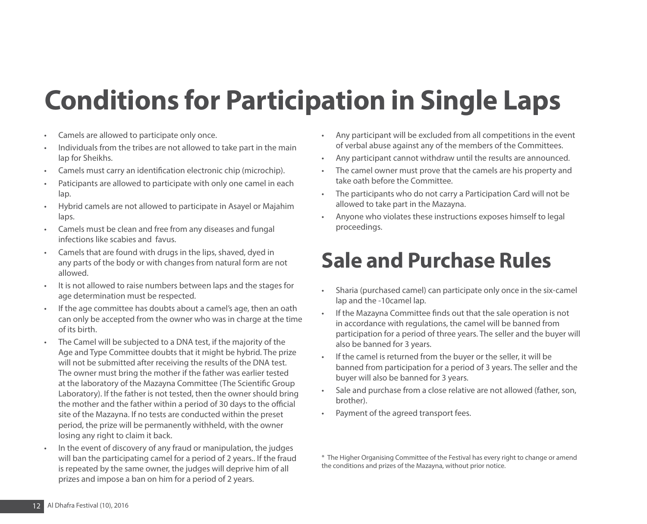# **Conditions for Participation in Single Laps**

- Camels are allowed to participate only once.
- Individuals from the tribes are not allowed to take part in the main lap for Sheikhs.
- Camels must carry an identification electronic chip (microchip).
- Paticipants are allowed to participate with only one camel in each lap.
- Hybrid camels are not allowed to participate in Asayel or Majahim laps.
- Camels must be clean and free from any diseases and fungal infections like scabies and favus.
- Camels that are found with drugs in the lips, shaved, dyed in any parts of the body or with changes from natural form are not allowed.
- It is not allowed to raise numbers between laps and the stages for age determination must be respected.
- If the age committee has doubts about a camel's age, then an oath can only be accepted from the owner who was in charge at the time of its birth.
- The Camel will be subjected to a DNA test, if the majority of the Age and Type Committee doubts that it might be hybrid. The prize will not be submitted after receiving the results of the DNA test. The owner must bring the mother if the father was earlier tested at the laboratory of the Mazayna Committee (The Scientific Group Laboratory). If the father is not tested, then the owner should bring the mother and the father within a period of 30 days to the official site of the Mazayna. If no tests are conducted within the preset period, the prize will be permanently withheld, with the owner losing any right to claim it back.
- In the event of discovery of any fraud or manipulation, the judges will ban the participating camel for a period of 2 years.. If the fraud is repeated by the same owner, the judges will deprive him of all prizes and impose a ban on him for a period of 2 years.
- Any participant will be excluded from all competitions in the event of verbal abuse against any of the members of the Committees.
- Any participant cannot withdraw until the results are announced.
- The camel owner must prove that the camels are his property and take oath before the Committee.
- The participants who do not carry a Participation Card will not be allowed to take part in the Mazayna.
- Anyone who violates these instructions exposes himself to legal proceedings.

### **Sale and Purchase Rules**

- Sharia (purchased camel) can participate only once in the six-camel lap and the -10camel lap.
- If the Mazayna Committee finds out that the sale operation is not in accordance with regulations, the camel will be banned from participation for a period of three years. The seller and the buyer will also be banned for 3 years.
- If the camel is returned from the buyer or the seller, it will be banned from participation for a period of 3 years. The seller and the buyer will also be banned for 3 years.
- Sale and purchase from a close relative are not allowed (father, son, brother).
- Payment of the agreed transport fees.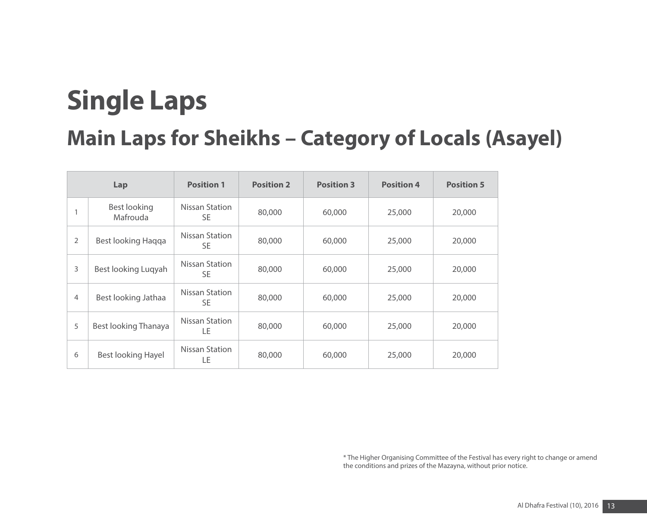# **Single Laps**

### **Main Laps for Sheikhs – Category of Locals (Asayel)**

|   | Lap                             | <b>Position 1</b>           | <b>Position 2</b> | <b>Position 3</b> | <b>Position 4</b> | <b>Position 5</b> |
|---|---------------------------------|-----------------------------|-------------------|-------------------|-------------------|-------------------|
|   | Best looking<br><b>Mafrouda</b> | Nissan Station<br><b>SE</b> | 80,000            | 60,000            | 25,000            | 20,000            |
| 2 | Best looking Haqqa              | Nissan Station<br>SE.       | 80,000            | 60,000            | 25,000            | 20,000            |
| 3 | Best looking Luqyah             | Nissan Station<br>SE.       | 80,000            | 60,000            | 25,000            | 20,000            |
| 4 | Best looking Jathaa             | Nissan Station<br>SE.       | 80,000            | 60,000            | 25,000            | 20,000            |
| 5 | Best looking Thanaya            | Nissan Station<br>LE        | 80,000            | 60,000            | 25,000            | 20,000            |
| 6 | <b>Best looking Hayel</b>       | Nissan Station<br>LE        | 80,000            | 60,000            | 25,000            | 20,000            |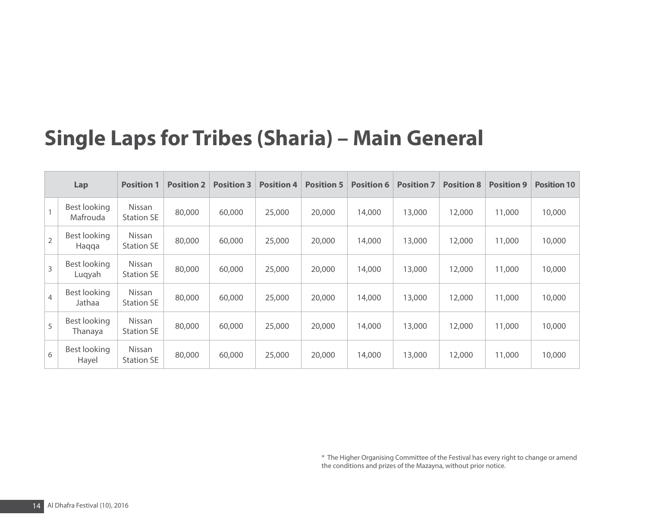### **Single Laps for Tribes (Sharia) – Main General**

|                | Lap                      | <b>Position 1</b>           | <b>Position 2</b> | <b>Position 3</b> | <b>Position 4</b> | <b>Position 5</b> | <b>Position 6</b> | <b>Position 7</b> | <b>Position 8</b> | <b>Position 9</b> | <b>Position 10</b> |
|----------------|--------------------------|-----------------------------|-------------------|-------------------|-------------------|-------------------|-------------------|-------------------|-------------------|-------------------|--------------------|
|                | Best looking<br>Mafrouda | Nissan<br><b>Station SE</b> | 80,000            | 60,000            | 25,000            | 20,000            | 14,000            | 13,000            | 12,000            | 11,000            | 10,000             |
| $\overline{2}$ | Best looking<br>Haqqa    | Nissan<br><b>Station SE</b> | 80,000            | 60,000            | 25,000            | 20,000            | 14,000            | 13,000            | 12,000            | 11,000            | 10,000             |
| $\overline{3}$ | Best looking<br>Luqyah   | Nissan<br><b>Station SE</b> | 80,000            | 60,000            | 25,000            | 20,000            | 14,000            | 13,000            | 12,000            | 11,000            | 10,000             |
| $\overline{4}$ | Best looking<br>Jathaa   | Nissan<br><b>Station SE</b> | 80,000            | 60,000            | 25,000            | 20,000            | 14,000            | 13,000            | 12,000            | 11,000            | 10,000             |
| 5              | Best looking<br>Thanaya  | Nissan<br><b>Station SE</b> | 80,000            | 60,000            | 25,000            | 20,000            | 14,000            | 13,000            | 12,000            | 11,000            | 10,000             |
| 6              | Best looking<br>Hayel    | Nissan<br><b>Station SE</b> | 80,000            | 60,000            | 25,000            | 20,000            | 14,000            | 13,000            | 12,000            | 11,000            | 10,000             |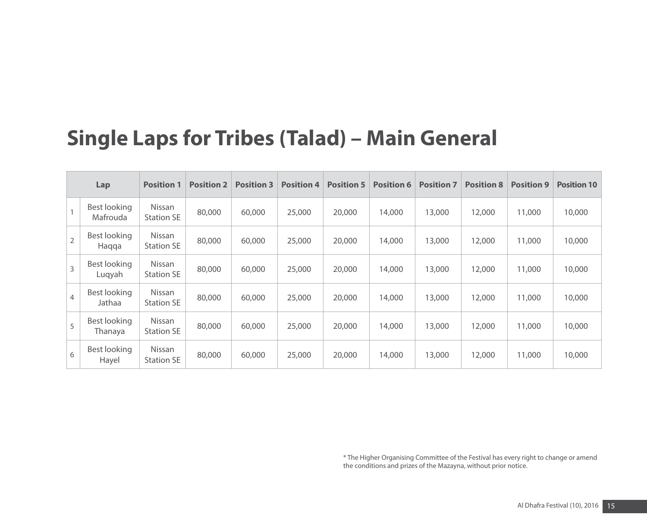### **Single Laps for Tribes (Talad) – Main General**

|                | Lap                      | <b>Position 1</b>           | <b>Position 2</b> | <b>Position 3</b> | <b>Position 4</b> | <b>Position 5</b> | <b>Position 6</b> | <b>Position 7</b> | <b>Position 8</b> | <b>Position 9</b> | <b>Position 10</b> |
|----------------|--------------------------|-----------------------------|-------------------|-------------------|-------------------|-------------------|-------------------|-------------------|-------------------|-------------------|--------------------|
|                | Best looking<br>Mafrouda | Nissan<br><b>Station SE</b> | 80,000            | 60,000            | 25,000            | 20,000            | 14,000            | 13,000            | 12,000            | 11,000            | 10,000             |
| $\overline{2}$ | Best looking<br>Haqqa    | Nissan<br><b>Station SE</b> | 80,000            | 60,000            | 25,000            | 20,000            | 14,000            | 13,000            | 12,000            | 11,000            | 10,000             |
| 3              | Best looking<br>Luqyah   | Nissan<br><b>Station SE</b> | 80,000            | 60,000            | 25,000            | 20,000            | 14,000            | 13,000            | 12,000            | 11,000            | 10,000             |
| $\overline{4}$ | Best looking<br>Jathaa   | Nissan<br><b>Station SE</b> | 80,000            | 60,000            | 25,000            | 20,000            | 14,000            | 13,000            | 12,000            | 11,000            | 10,000             |
| 5              | Best looking<br>Thanaya  | Nissan<br><b>Station SE</b> | 80,000            | 60,000            | 25,000            | 20,000            | 14,000            | 13,000            | 12,000            | 11,000            | 10,000             |
| 6              | Best looking<br>Hayel    | Nissan<br><b>Station SE</b> | 80,000            | 60,000            | 25,000            | 20,000            | 14,000            | 13,000            | 12,000            | 11,000            | 10,000             |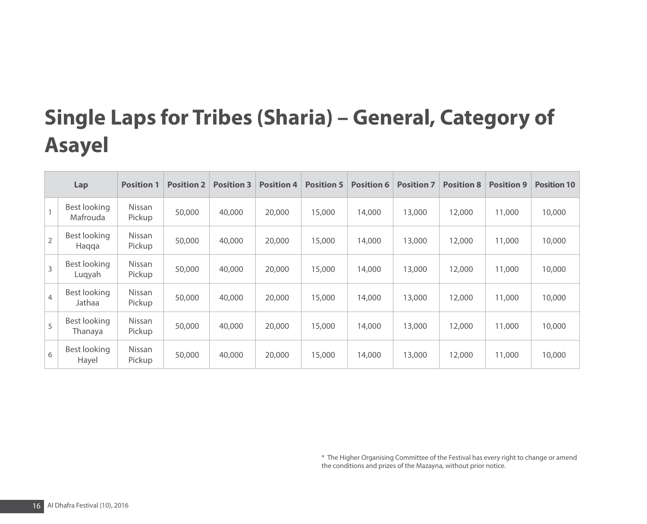# **Single Laps for Tribes (Sharia) – General, Category of Asayel**

|                | Lap                      | <b>Position 1</b> | <b>Position 2</b> | <b>Position 3</b> | <b>Position 4</b> | <b>Position 5</b> | <b>Position 6</b> | <b>Position 7</b> | <b>Position 8</b> | <b>Position 9</b> | <b>Position 10</b> |
|----------------|--------------------------|-------------------|-------------------|-------------------|-------------------|-------------------|-------------------|-------------------|-------------------|-------------------|--------------------|
|                | Best looking<br>Mafrouda | Nissan<br>Pickup  | 50,000            | 40,000            | 20,000            | 15,000            | 14,000            | 13,000            | 12,000            | 11,000            | 10,000             |
| $\overline{2}$ | Best looking<br>Haqqa    | Nissan<br>Pickup  | 50,000            | 40,000            | 20,000            | 15,000            | 14,000            | 13,000            | 12,000            | 11,000            | 10,000             |
| $\overline{3}$ | Best looking<br>Luqyah   | Nissan<br>Pickup  | 50,000            | 40,000            | 20,000            | 15,000            | 14,000            | 13,000            | 12,000            | 11,000            | 10,000             |
| $\overline{4}$ | Best looking<br>Jathaa   | Nissan<br>Pickup  | 50,000            | 40,000            | 20,000            | 15,000            | 14,000            | 13,000            | 12,000            | 11,000            | 10,000             |
| 5              | Best looking<br>Thanaya  | Nissan<br>Pickup  | 50,000            | 40,000            | 20,000            | 15,000            | 14,000            | 13,000            | 12,000            | 11,000            | 10,000             |
| 6              | Best looking<br>Hayel    | Nissan<br>Pickup  | 50,000            | 40,000            | 20,000            | 15,000            | 14,000            | 13,000            | 12,000            | 11,000            | 10,000             |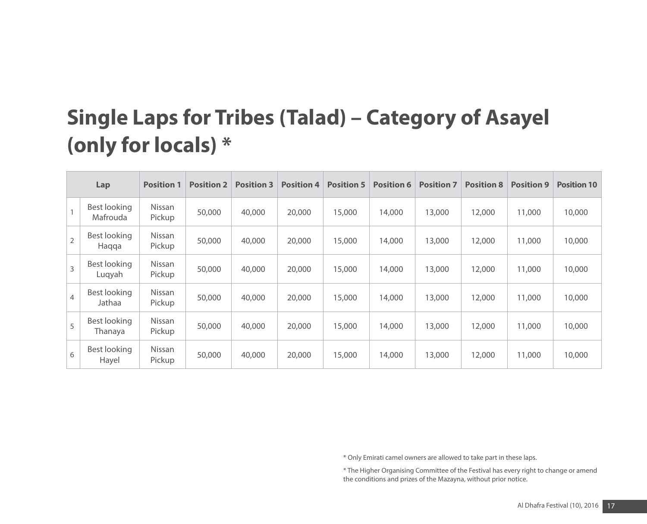### **Single Laps for Tribes (Talad) – Category of Asayel (only for locals) \***

|                | Lap                      | <b>Position 1</b>       | <b>Position 2</b> | <b>Position 3</b> | <b>Position 4</b> | <b>Position 5</b> | <b>Position 6</b> | <b>Position 7</b> | <b>Position 8</b> | <b>Position 9</b> | <b>Position 10</b> |
|----------------|--------------------------|-------------------------|-------------------|-------------------|-------------------|-------------------|-------------------|-------------------|-------------------|-------------------|--------------------|
|                | Best looking<br>Mafrouda | Nissan<br>Pickup        | 50,000            | 40,000            | 20,000            | 15,000            | 14,000            | 13,000            | 12,000            | 11,000            | 10,000             |
| $\overline{2}$ | Best looking<br>Haqqa    | Nissan<br>Pickup        | 50,000            | 40,000            | 20,000            | 15,000            | 14,000            | 13,000            | 12,000            | 11,000            | 10,000             |
| 3              | Best looking<br>Luqyah   | Nissan<br>Pickup        | 50,000            | 40,000            | 20,000            | 15,000            | 14,000            | 13,000            | 12,000            | 11,000            | 10,000             |
| $\overline{4}$ | Best looking<br>Jathaa   | <b>Nissan</b><br>Pickup | 50,000            | 40,000            | 20,000            | 15,000            | 14,000            | 13,000            | 12,000            | 11,000            | 10,000             |
| 5              | Best looking<br>Thanaya  | Nissan<br>Pickup        | 50,000            | 40,000            | 20,000            | 15,000            | 14,000            | 13,000            | 12,000            | 11,000            | 10,000             |
| 6              | Best looking<br>Hayel    | <b>Nissan</b><br>Pickup | 50,000            | 40,000            | 20,000            | 15,000            | 14,000            | 13,000            | 12,000            | 11,000            | 10,000             |

\* Only Emirati camel owners are allowed to take part in these laps.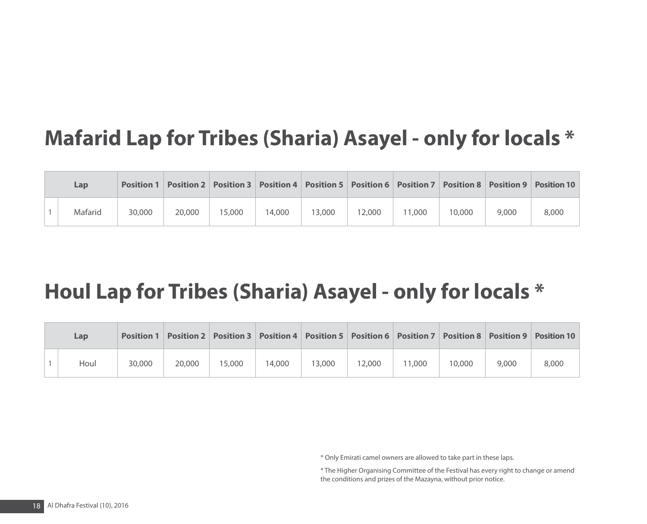### **Mafarid Lap for Tribes (Sharia) Asayel - only for locals \***

|  | Lap     | <b>Position 1</b> |        |        |        |        |        |       |        |       | <b>Position 2</b> Position 3 Position 4 Position 5 Position 6 Position 7 Position 8 Position 9 Position 10 |
|--|---------|-------------------|--------|--------|--------|--------|--------|-------|--------|-------|------------------------------------------------------------------------------------------------------------|
|  | Mafarid | 30,000            | 20,000 | 15,000 | 14,000 | 13,000 | '2,000 | 1,000 | 10,000 | 9,000 | 8,000                                                                                                      |

# **Houl Lap for Tribes (Sharia) Asayel - only for locals \***

| Lap  |        |        |        |        |        |        |       |        |       | Position 1   Position 2   Position 3   Position 4   Position 5   Position 6   Position 7   Position 8   Position 9   Position 10 |
|------|--------|--------|--------|--------|--------|--------|-------|--------|-------|----------------------------------------------------------------------------------------------------------------------------------|
| Houl | 30,000 | 20,000 | 15,000 | 14,000 | 13,000 | 12,000 | 1,000 | 10,000 | 9,000 | 8,000                                                                                                                            |

\* Only Emirati camel owners are allowed to take part in these laps.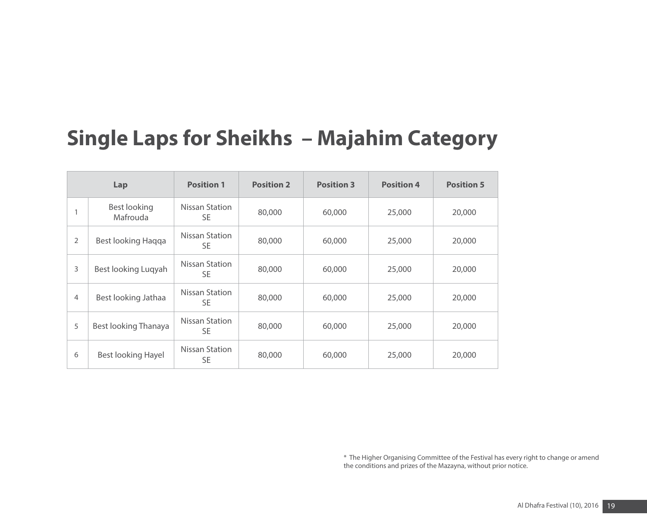### **Single Laps for Sheikhs – Majahim Category**

|                | Lap                             | <b>Position 1</b>           | <b>Position 2</b> | <b>Position 3</b> | <b>Position 4</b> | <b>Position 5</b> |
|----------------|---------------------------------|-----------------------------|-------------------|-------------------|-------------------|-------------------|
|                | Best looking<br><b>Mafrouda</b> | Nissan Station<br><b>SE</b> | 80,000            | 60,000            | 25,000            | 20,000            |
| $\overline{2}$ | Best looking Haqqa              | Nissan Station<br>SE.       | 80,000            | 60,000            | 25,000            | 20,000            |
| 3              | Best looking Luqyah             | Nissan Station<br>SE.       | 80,000            | 60,000            | 25,000            | 20,000            |
| $\overline{4}$ | Best looking Jathaa             | Nissan Station<br>SE        | 80,000            | 60,000            | 25,000            | 20,000            |
| 5              | Best looking Thanaya            | Nissan Station<br>SE        | 80,000            | 60,000            | 25,000            | 20,000            |
| 6              | Best looking Hayel              | Nissan Station<br>SE        | 80,000            | 60,000            | 25,000            | 20,000            |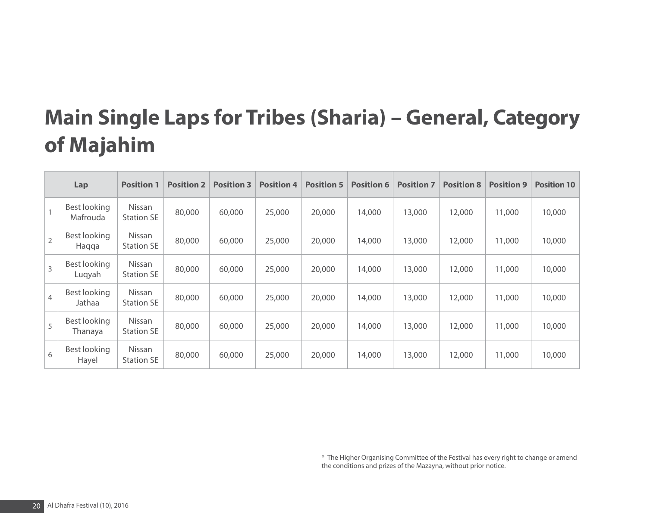## **Main Single Laps for Tribes (Sharia) – General, Category of Majahim**

|                | Lap                      | <b>Position 1</b>           | <b>Position 2</b> | <b>Position 3</b> | <b>Position 4</b> | <b>Position 5</b> | <b>Position 6</b> | <b>Position 7</b> | <b>Position 8</b> | <b>Position 9</b> | <b>Position 10</b> |
|----------------|--------------------------|-----------------------------|-------------------|-------------------|-------------------|-------------------|-------------------|-------------------|-------------------|-------------------|--------------------|
|                | Best looking<br>Mafrouda | Nissan<br><b>Station SE</b> | 80,000            | 60,000            | 25,000            | 20,000            | 14,000            | 13,000            | 12,000            | 11,000            | 10,000             |
| $\overline{2}$ | Best looking<br>Haqqa    | Nissan<br><b>Station SE</b> | 80,000            | 60,000            | 25,000            | 20,000            | 14,000            | 13,000            | 12,000            | 11,000            | 10,000             |
| 3              | Best looking<br>Luqyah   | Nissan<br><b>Station SE</b> | 80,000            | 60,000            | 25,000            | 20,000            | 14,000            | 13,000            | 12,000            | 11,000            | 10,000             |
| $\overline{4}$ | Best looking<br>Jathaa   | Nissan<br><b>Station SE</b> | 80,000            | 60,000            | 25,000            | 20,000            | 14,000            | 13,000            | 12,000            | 11,000            | 10,000             |
| 5              | Best looking<br>Thanaya  | Nissan<br><b>Station SE</b> | 80,000            | 60,000            | 25,000            | 20,000            | 14,000            | 13,000            | 12,000            | 11,000            | 10,000             |
| 6              | Best looking<br>Hayel    | Nissan<br><b>Station SE</b> | 80,000            | 60,000            | 25,000            | 20,000            | 14,000            | 13,000            | 12,000            | 11,000            | 10,000             |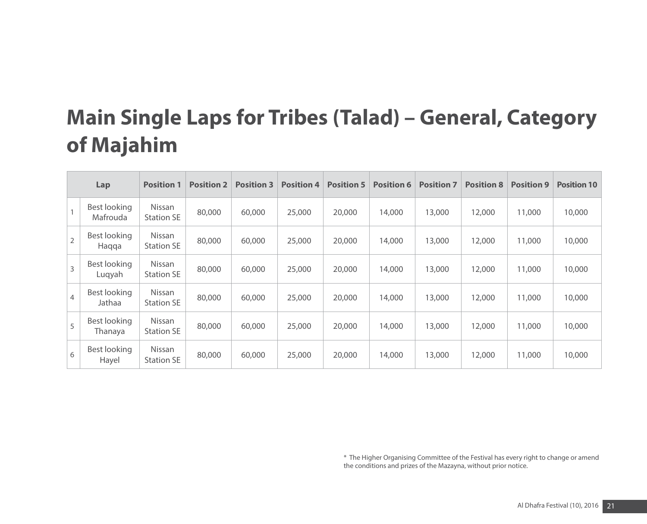# **Main Single Laps for Tribes (Talad) – General, Category of Majahim**

|                | Lap                      | <b>Position 1</b>                  | <b>Position 2</b> | <b>Position 3</b> | <b>Position 4</b> | <b>Position 5</b> | <b>Position 6</b> | <b>Position 7</b> | <b>Position 8</b> | <b>Position 9</b> | <b>Position 10</b> |
|----------------|--------------------------|------------------------------------|-------------------|-------------------|-------------------|-------------------|-------------------|-------------------|-------------------|-------------------|--------------------|
|                | Best looking<br>Mafrouda | Nissan<br><b>Station SE</b>        | 80,000            | 60,000            | 25,000            | 20,000            | 14,000            | 13,000            | 12,000            | 11,000            | 10,000             |
| $\overline{2}$ | Best looking<br>Haqqa    | Nissan<br><b>Station SE</b>        | 80,000            | 60,000            | 25,000            | 20,000            | 14,000            | 13,000            | 12,000            | 11,000            | 10,000             |
| 3              | Best looking<br>Luqyah   | Nissan<br><b>Station SE</b>        | 80,000            | 60,000            | 25,000            | 20,000            | 14,000            | 13,000            | 12,000            | 11,000            | 10,000             |
| $\overline{4}$ | Best looking<br>Jathaa   | <b>Nissan</b><br><b>Station SE</b> | 80,000            | 60,000            | 25,000            | 20,000            | 14,000            | 13,000            | 12,000            | 11,000            | 10,000             |
| 5              | Best looking<br>Thanaya  | Nissan<br><b>Station SE</b>        | 80,000            | 60,000            | 25,000            | 20,000            | 14,000            | 13,000            | 12,000            | 11,000            | 10,000             |
| 6              | Best looking<br>Hayel    | Nissan<br><b>Station SE</b>        | 80,000            | 60,000            | 25,000            | 20,000            | 14,000            | 13,000            | 12,000            | 11,000            | 10,000             |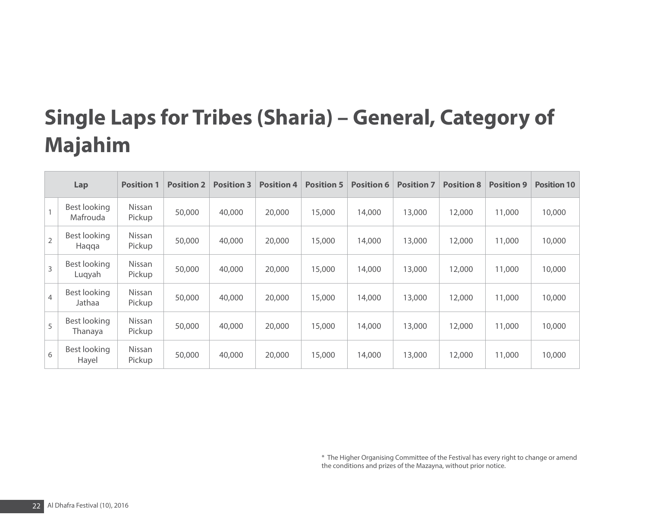# **Single Laps for Tribes (Sharia) – General, Category of Majahim**

|                | Lap                      | <b>Position 1</b> | <b>Position 2</b> | <b>Position 3</b> | <b>Position 4</b> | <b>Position 5</b> | <b>Position 6</b> | <b>Position 7</b> | <b>Position 8</b> | <b>Position 9</b> | <b>Position 10</b> |
|----------------|--------------------------|-------------------|-------------------|-------------------|-------------------|-------------------|-------------------|-------------------|-------------------|-------------------|--------------------|
|                | Best looking<br>Mafrouda | Nissan<br>Pickup  | 50,000            | 40,000            | 20,000            | 15,000            | 14,000            | 13,000            | 12,000            | 11,000            | 10,000             |
| $\overline{2}$ | Best looking<br>Haqqa    | Nissan<br>Pickup  | 50,000            | 40,000            | 20,000            | 15,000            | 14,000            | 13,000            | 12,000            | 11,000            | 10,000             |
| 3              | Best looking<br>Luqyah   | Nissan<br>Pickup  | 50,000            | 40,000            | 20,000            | 15,000            | 14,000            | 13,000            | 12,000            | 11,000            | 10,000             |
| $\overline{4}$ | Best looking<br>Jathaa   | Nissan<br>Pickup  | 50,000            | 40,000            | 20,000            | 15,000            | 14,000            | 13,000            | 12,000            | 11,000            | 10,000             |
| 5              | Best looking<br>Thanaya  | Nissan<br>Pickup  | 50,000            | 40,000            | 20,000            | 15,000            | 14,000            | 13,000            | 12,000            | 11,000            | 10,000             |
| 6              | Best looking<br>Hayel    | Nissan<br>Pickup  | 50,000            | 40,000            | 20,000            | 15,000            | 14,000            | 13,000            | 12,000            | 11,000            | 10,000             |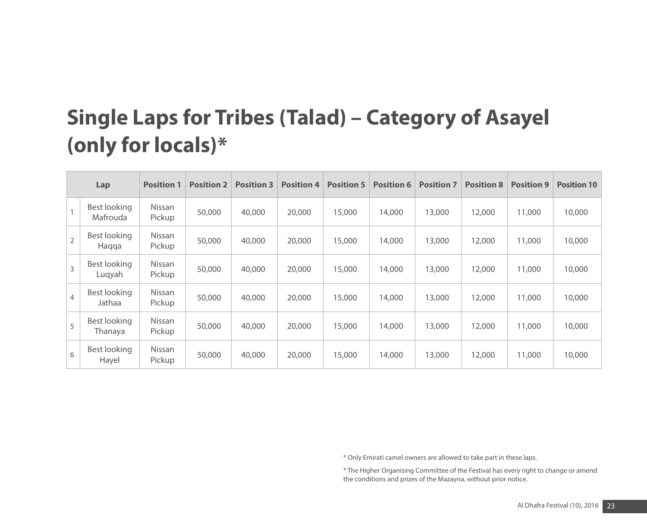### **Single Laps for Tribes (Talad) – Category of Asayel (only for locals)\***

|                | Lap                      | <b>Position 1</b>       | <b>Position 2</b> | <b>Position 3</b> | <b>Position 4</b> | <b>Position 5</b> | <b>Position 6</b> | <b>Position 7</b> | <b>Position 8</b> | <b>Position 9</b> | <b>Position 10</b> |
|----------------|--------------------------|-------------------------|-------------------|-------------------|-------------------|-------------------|-------------------|-------------------|-------------------|-------------------|--------------------|
|                | Best looking<br>Mafrouda | Nissan<br>Pickup        | 50,000            | 40,000            | 20,000            | 15,000            | 14,000            | 13,000            | 12,000            | 11,000            | 10,000             |
| $\overline{2}$ | Best looking<br>Haqqa    | Nissan<br>Pickup        | 50,000            | 40,000            | 20,000            | 15,000            | 14,000            | 13,000            | 12,000            | 11,000            | 10,000             |
| 3              | Best looking<br>Luqyah   | Nissan<br>Pickup        | 50,000            | 40,000            | 20,000            | 15,000            | 14,000            | 13,000            | 12,000            | 11,000            | 10,000             |
| $\overline{4}$ | Best looking<br>Jathaa   | <b>Nissan</b><br>Pickup | 50,000            | 40,000            | 20,000            | 15,000            | 14,000            | 13,000            | 12,000            | 11,000            | 10,000             |
| 5              | Best looking<br>Thanaya  | Nissan<br>Pickup        | 50,000            | 40,000            | 20,000            | 15,000            | 14,000            | 13,000            | 12,000            | 11,000            | 10,000             |
| 6              | Best looking<br>Hayel    | <b>Nissan</b><br>Pickup | 50,000            | 40,000            | 20,000            | 15,000            | 14,000            | 13,000            | 12,000            | 11,000            | 10,000             |

\* Only Emirati camel owners are allowed to take part in these laps.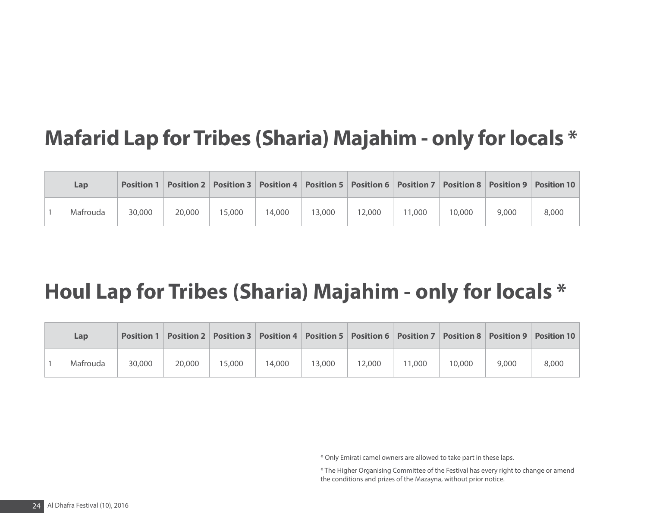### **Mafarid Lap for Tribes (Sharia) Majahim - only for locals \***

|  | Lap      | <b>Position 1</b> |        |        |        |        |        |       |        |       | <b>Position 2</b> Position 3 Position 4 Position 5 Position 6 Position 7 Position 8 Position 9 Position 10 |
|--|----------|-------------------|--------|--------|--------|--------|--------|-------|--------|-------|------------------------------------------------------------------------------------------------------------|
|  | Mafrouda | 30,000            | 20,000 | 15,000 | 14,000 | 13,000 | 12,000 | 1,000 | 10,000 | 9,000 | 8,000                                                                                                      |

# **Houl Lap for Tribes (Sharia) Majahim - only for locals \***

| Lap      | <b>Position 1</b> |        |        |        |        |        |       |        |       | <b>Position 2</b> Position 3 Position 4 Position 5 Position 6 Position 7 Position 8 Position 9 Position 10 |
|----------|-------------------|--------|--------|--------|--------|--------|-------|--------|-------|------------------------------------------------------------------------------------------------------------|
| Mafrouda | 30,000            | 20,000 | 15,000 | 14,000 | 13,000 | 12,000 | 1.000 | 10,000 | 9,000 | 8,000                                                                                                      |

\* Only Emirati camel owners are allowed to take part in these laps.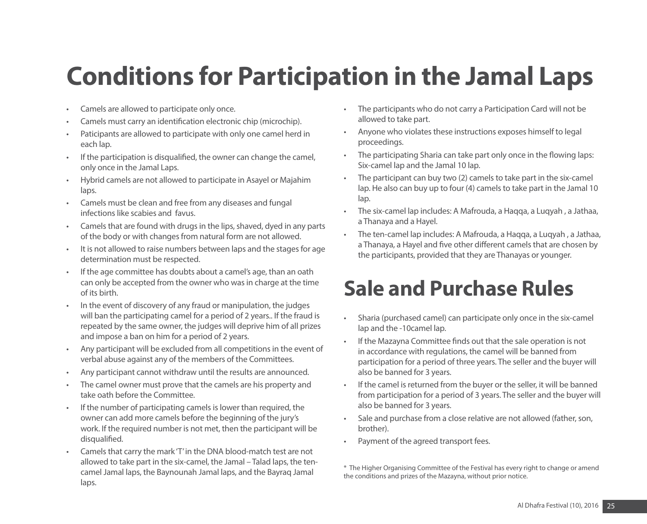# **Conditions for Participation in the Jamal Laps**

- Camels are allowed to participate only once.
- Camels must carry an identification electronic chip (microchip).
- Paticipants are allowed to participate with only one camel herd in each lap.
- If the participation is disqualified, the owner can change the camel, only once in the Jamal Laps.
- Hybrid camels are not allowed to participate in Asayel or Majahim laps.
- Camels must be clean and free from any diseases and fungal infections like scabies and favus.
- Camels that are found with drugs in the lips, shaved, dyed in any parts of the body or with changes from natural form are not allowed.
- It is not allowed to raise numbers between laps and the stages for age determination must be respected.
- If the age committee has doubts about a camel's age, than an oath can only be accepted from the owner who was in charge at the time of its birth.
- In the event of discovery of any fraud or manipulation, the judges will ban the participating camel for a period of 2 years.. If the fraud is repeated by the same owner, the judges will deprive him of all prizes and impose a ban on him for a period of 2 years.
- Any participant will be excluded from all competitions in the event of verbal abuse against any of the members of the Committees.
- Any participant cannot withdraw until the results are announced.
- The camel owner must prove that the camels are his property and take oath before the Committee.
- If the number of participating camels is lower than required, the owner can add more camels before the beginning of the jury's work. If the required number is not met, then the participant will be disqualified.
- Camels that carry the mark 'T' in the DNA blood-match test are not allowed to take part in the six-camel, the Jamal – Talad laps, the tencamel Jamal laps, the Baynounah Jamal laps, and the Bayraq Jamal laps.
- The participants who do not carry a Participation Card will not be allowed to take part.
- Anyone who violates these instructions exposes himself to legal proceedings.
- The participating Sharia can take part only once in the flowing laps: Six-camel lap and the Jamal 10 lap.
- The participant can buy two (2) camels to take part in the six-camel lap. He also can buy up to four (4) camels to take part in the Jamal 10 lap.
- The six-camel lap includes: A Mafrouda, a Haqqa, a Luqyah , a Jathaa, a Thanaya and a Hayel.
- The ten-camel lap includes: A Mafrouda, a Haqqa, a Luqyah , a Jathaa, a Thanaya, a Hayel and five other different camels that are chosen by the participants, provided that they are Thanayas or younger.

### **Sale and Purchase Rules**

- Sharia (purchased camel) can participate only once in the six-camel lap and the -10camel lap.
- If the Mazayna Committee finds out that the sale operation is not in accordance with regulations, the camel will be banned from participation for a period of three years. The seller and the buyer will also be banned for 3 years.
- If the camel is returned from the buyer or the seller, it will be banned from participation for a period of 3 years. The seller and the buyer will also be banned for 3 years.
- Sale and purchase from a close relative are not allowed (father, son, brother).
- Payment of the agreed transport fees.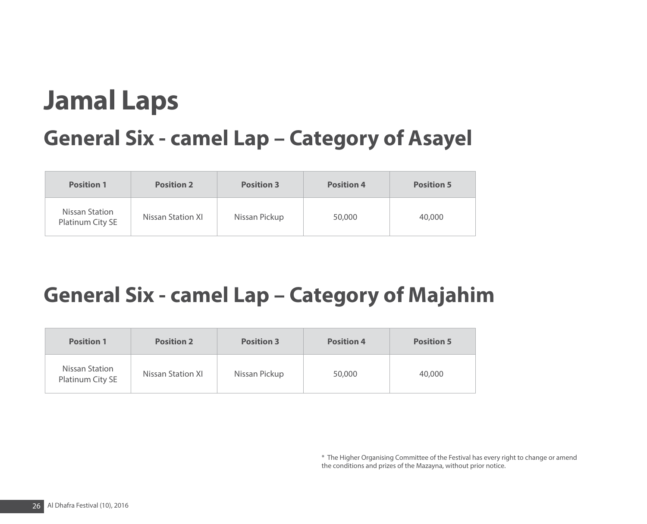# **Jamal Laps**

### **General Six - camel Lap – Category of Asayel**

| <b>Position 1</b>                  | <b>Position 2</b> | <b>Position 3</b> | <b>Position 4</b> | <b>Position 5</b> |
|------------------------------------|-------------------|-------------------|-------------------|-------------------|
| Nissan Station<br>Platinum City SE | Nissan Station XI | Nissan Pickup     | 50,000            | 40,000            |

# **General Six - camel Lap – Category of Majahim**

| <b>Position 1</b>                  | <b>Position 2</b> | <b>Position 3</b> | <b>Position 4</b> | <b>Position 5</b> |
|------------------------------------|-------------------|-------------------|-------------------|-------------------|
| Nissan Station<br>Platinum City SE | Nissan Station XI | Nissan Pickup     | 50,000            | 40,000            |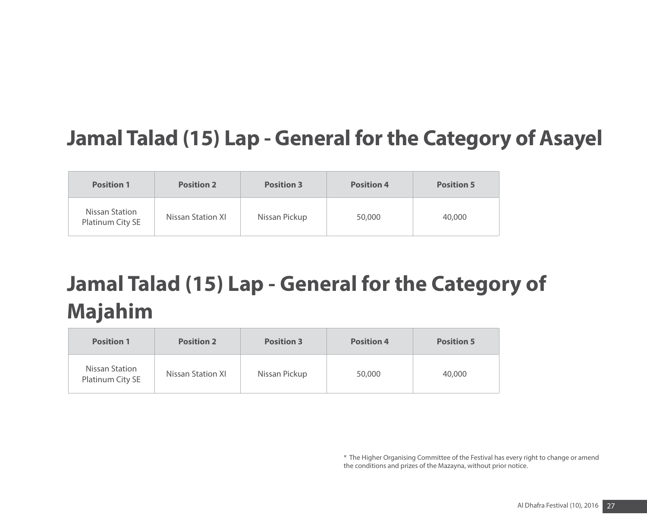### **Jamal Talad (15) Lap - General for the Category of Asayel**

| <b>Position 1</b>                  | <b>Position 2</b> | <b>Position 3</b> | <b>Position 4</b> | <b>Position 5</b> |
|------------------------------------|-------------------|-------------------|-------------------|-------------------|
| Nissan Station<br>Platinum City SE | Nissan Station XI | Nissan Pickup     | 50,000            | 40,000            |

# **Jamal Talad (15) Lap - General for the Category of Majahim**

| <b>Position 1</b>                  | <b>Position 2</b> | <b>Position 3</b> | <b>Position 4</b> | <b>Position 5</b> |
|------------------------------------|-------------------|-------------------|-------------------|-------------------|
| Nissan Station<br>Platinum City SE | Nissan Station XI | Nissan Pickup     | 50,000            | 40,000            |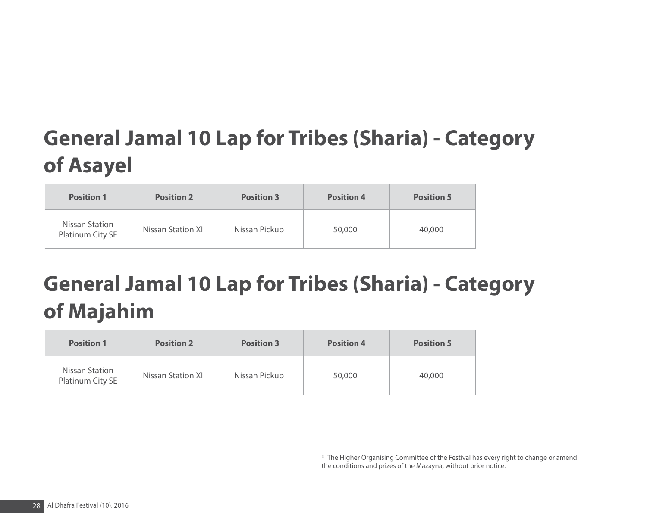# **General Jamal 10 Lap for Tribes (Sharia) - Category of Asayel**

| <b>Position 1</b>                  | <b>Position 2</b> | <b>Position 3</b> | <b>Position 4</b> | <b>Position 5</b> |
|------------------------------------|-------------------|-------------------|-------------------|-------------------|
| Nissan Station<br>Platinum City SE | Nissan Station XI | Nissan Pickup     | 50,000            | 40,000            |

# **General Jamal 10 Lap for Tribes (Sharia) - Category of Majahim**

| <b>Position 1</b>                  | <b>Position 2</b> | <b>Position 3</b> | <b>Position 4</b> | <b>Position 5</b> |
|------------------------------------|-------------------|-------------------|-------------------|-------------------|
| Nissan Station<br>Platinum City SE | Nissan Station XI | Nissan Pickup     | 50,000            | 40,000            |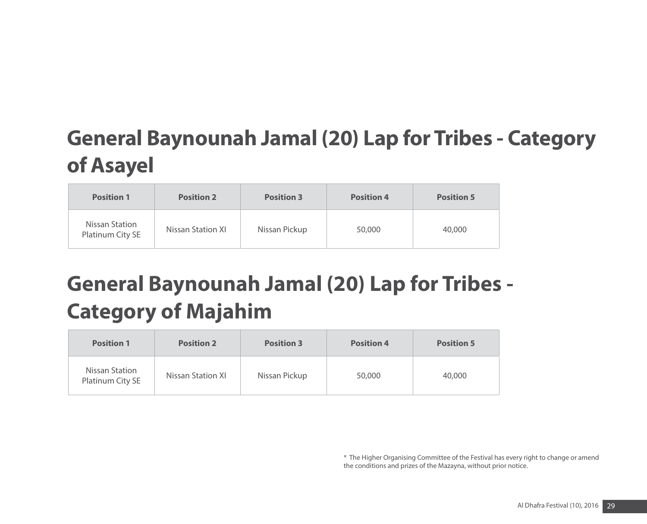# **General Baynounah Jamal (20) Lap for Tribes - Category of Asayel**

| <b>Position 1</b>                  | <b>Position 2</b> | <b>Position 3</b> | <b>Position 4</b> | <b>Position 5</b> |
|------------------------------------|-------------------|-------------------|-------------------|-------------------|
| Nissan Station<br>Platinum City SE | Nissan Station XI | Nissan Pickup     | 50,000            | 40,000            |

# **General Baynounah Jamal (20) Lap for Tribes - Category of Majahim**

| <b>Position 1</b>                  | <b>Position 2</b> | <b>Position 3</b> | <b>Position 4</b> | <b>Position 5</b> |
|------------------------------------|-------------------|-------------------|-------------------|-------------------|
| Nissan Station<br>Platinum City SE | Nissan Station XI | Nissan Pickup     | 50,000            | 40,000            |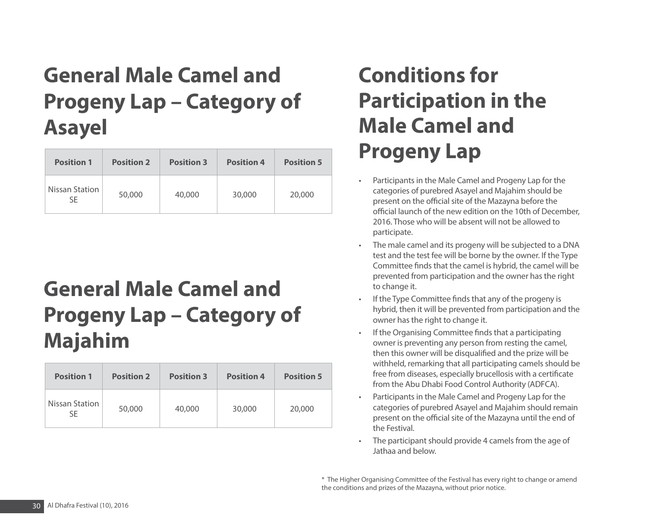# **General Male Camel and Progeny Lap – Category of Asayel**

| <b>Position 1</b>     | <b>Position 2</b> | <b>Position 3</b> | <b>Position 4</b> | <b>Position 5</b> |
|-----------------------|-------------------|-------------------|-------------------|-------------------|
| Nissan Station<br>SE. | 50,000            | 40,000            | 30,000            | 20,000            |

# **General Male Camel and Progeny Lap – Category of Majahim**

| <b>Position 1</b>     | <b>Position 2</b> | <b>Position 3</b> | <b>Position 4</b> | <b>Position 5</b> |  |
|-----------------------|-------------------|-------------------|-------------------|-------------------|--|
| Nissan Station<br>SE. | 50,000            | 40,000            | 30,000            | 20,000            |  |

## **Conditions for Participation in the Male Camel and Progeny Lap**

- Participants in the Male Camel and Progeny Lap for the categories of purebred Asayel and Majahim should be present on the official site of the Mazayna before the official launch of the new edition on the 10th of December, 2016. Those who will be absent will not be allowed to participate.
- The male camel and its progeny will be subjected to a DNA test and the test fee will be borne by the owner. If the Type Committee finds that the camel is hybrid, the camel will be prevented from participation and the owner has the right to change it.
- If the Type Committee finds that any of the progeny is hybrid, then it will be prevented from participation and the owner has the right to change it.
- If the Organising Committee finds that a participating owner is preventing any person from resting the camel, then this owner will be disqualified and the prize will be withheld, remarking that all participating camels should be free from diseases, especially brucellosis with a certificate from the Abu Dhabi Food Control Authority (ADFCA).
- Participants in the Male Camel and Progeny Lap for the categories of purebred Asayel and Majahim should remain present on the official site of the Mazayna until the end of the Festival.
- The participant should provide 4 camels from the age of Jathaa and below.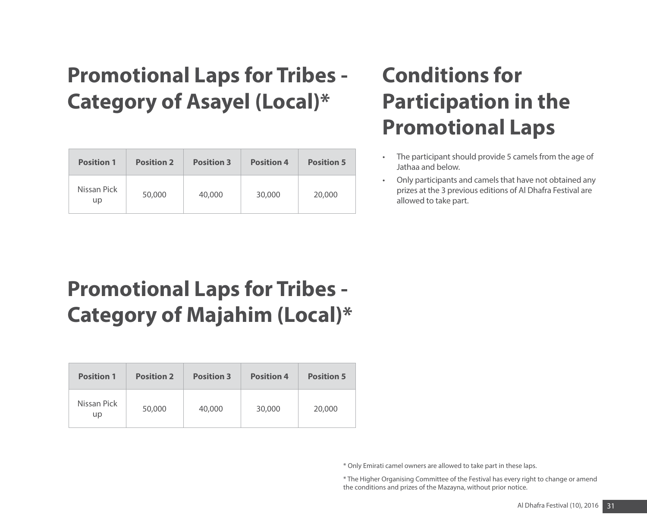### **Promotional Laps for Tribes - Category of Asayel (Local)\***

| <b>Position 1</b> | <b>Position 2</b> | <b>Position 3</b> | <b>Position 4</b> | <b>Position 5</b> |
|-------------------|-------------------|-------------------|-------------------|-------------------|
| Nissan Pick<br>up | 50,000            | 40,000            | 30,000            | 20,000            |

# **Conditions for Participation in the Promotional Laps**

- The participant should provide 5 camels from the age of Jathaa and below.
- Only participants and camels that have not obtained any prizes at the 3 previous editions of Al Dhafra Festival are allowed to take part.

# **Promotional Laps for Tribes - Category of Majahim (Local)\***

| <b>Position 1</b> | <b>Position 2</b> | <b>Position 3</b> | <b>Position 4</b> | <b>Position 5</b> |
|-------------------|-------------------|-------------------|-------------------|-------------------|
| Nissan Pick<br>up | 50,000            | 40,000            | 30,000            | 20,000            |

\* Only Emirati camel owners are allowed to take part in these laps.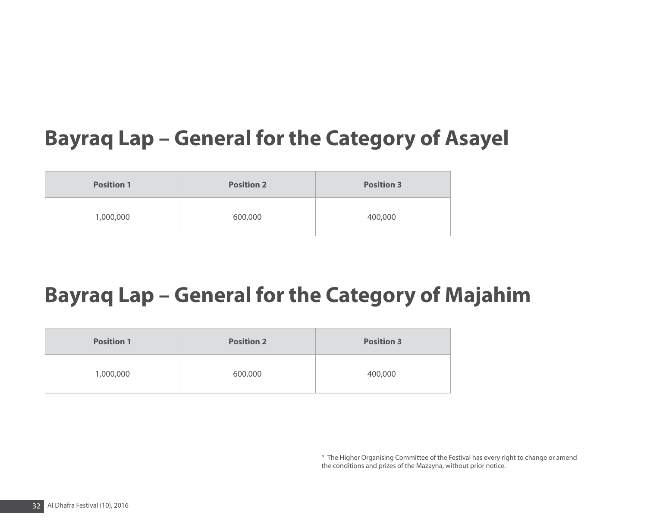### **Bayraq Lap – General for the Category of Asayel**

| <b>Position 1</b> | <b>Position 2</b> | <b>Position 3</b> |
|-------------------|-------------------|-------------------|
| 1,000,000         | 600,000           | 400,000           |

# **Bayraq Lap – General for the Category of Majahim**

| <b>Position 1</b> | <b>Position 2</b> | <b>Position 3</b> |
|-------------------|-------------------|-------------------|
| 1,000,000         | 600,000           | 400,000           |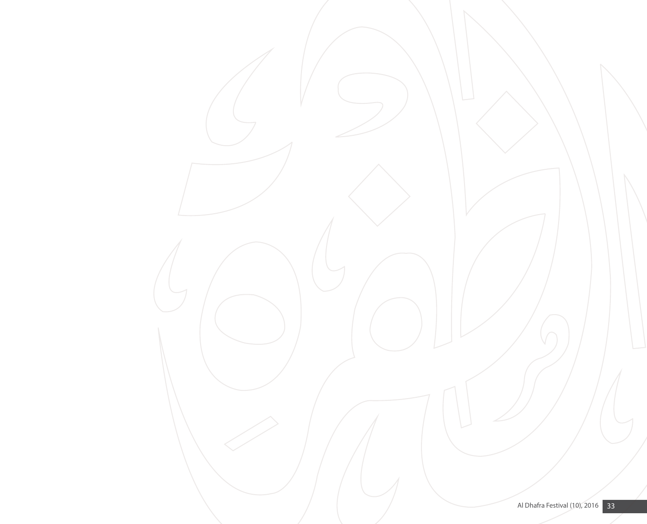Al Dhafra Festival (10), 2016 33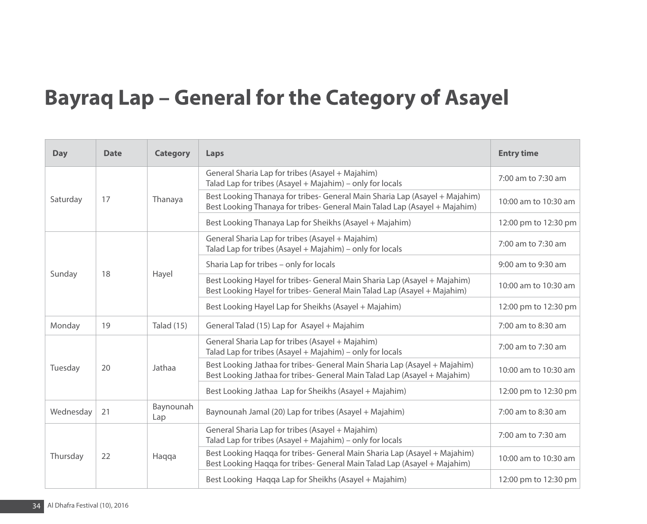### **Bayraq Lap – General for the Category of Asayel**

| <b>Day</b> | <b>Date</b> | <b>Category</b>                                                                                                                                                | Laps                                                                                                                                                      | <b>Entry time</b>    |
|------------|-------------|----------------------------------------------------------------------------------------------------------------------------------------------------------------|-----------------------------------------------------------------------------------------------------------------------------------------------------------|----------------------|
|            |             |                                                                                                                                                                | General Sharia Lap for tribes (Asayel + Majahim)<br>Talad Lap for tribes (Asayel + Majahim) – only for locals                                             | 7:00 am to 7:30 am   |
| Saturday   | 17          | Thanaya                                                                                                                                                        | Best Looking Thanaya for tribes- General Main Sharia Lap (Asayel + Majahim)<br>Best Looking Thanaya for tribes- General Main Talad Lap (Asayel + Majahim) | 10:00 am to 10:30 am |
|            |             |                                                                                                                                                                | Best Looking Thanaya Lap for Sheikhs (Asayel + Majahim)                                                                                                   | 12:00 pm to 12:30 pm |
|            |             |                                                                                                                                                                | General Sharia Lap for tribes (Asayel + Majahim)<br>Talad Lap for tribes (Asayel + Majahim) – only for locals                                             | 7:00 am to 7:30 am   |
| Sunday     |             |                                                                                                                                                                | Sharia Lap for tribes - only for locals                                                                                                                   | 9:00 am to 9:30 am   |
|            | 18          | Hayel<br>Best Looking Hayel for tribes- General Main Sharia Lap (Asayel + Majahim)<br>Best Looking Hayel for tribes- General Main Talad Lap (Asayel + Majahim) |                                                                                                                                                           | 10:00 am to 10:30 am |
|            |             |                                                                                                                                                                | Best Looking Hayel Lap for Sheikhs (Asayel + Majahim)                                                                                                     | 12:00 pm to 12:30 pm |
| Monday     | 19          | <b>Talad (15)</b>                                                                                                                                              | General Talad (15) Lap for Asayel + Majahim                                                                                                               | 7:00 am to 8:30 am   |
|            |             |                                                                                                                                                                | General Sharia Lap for tribes (Asayel + Majahim)<br>Talad Lap for tribes (Asayel + Majahim) – only for locals                                             | 7:00 am to 7:30 am   |
| Tuesday    | 20          | Jathaa                                                                                                                                                         | Best Looking Jathaa for tribes- General Main Sharia Lap (Asayel + Majahim)<br>Best Looking Jathaa for tribes- General Main Talad Lap (Asayel + Majahim)   | 10:00 am to 10:30 am |
|            |             |                                                                                                                                                                | Best Looking Jathaa Lap for Sheikhs (Asayel + Majahim)                                                                                                    | 12:00 pm to 12:30 pm |
| Wednesday  | 21          | Baynounah<br>Lap                                                                                                                                               | Baynounah Jamal (20) Lap for tribes (Asayel + Majahim)                                                                                                    | 7:00 am to 8:30 am   |
|            |             |                                                                                                                                                                | General Sharia Lap for tribes (Asayel + Majahim)<br>Talad Lap for tribes (Asayel + Majahim) - only for locals                                             | 7:00 am to 7:30 am   |
| Thursday   | 22          | Best Looking Hagga for tribes- General Main Sharia Lap (Asayel + Majahim)<br>Haqqa<br>Best Looking Hagga for tribes- General Main Talad Lap (Asayel + Majahim) |                                                                                                                                                           | 10:00 am to 10:30 am |
|            |             |                                                                                                                                                                | Best Looking Haqqa Lap for Sheikhs (Asayel + Majahim)                                                                                                     | 12:00 pm to 12:30 pm |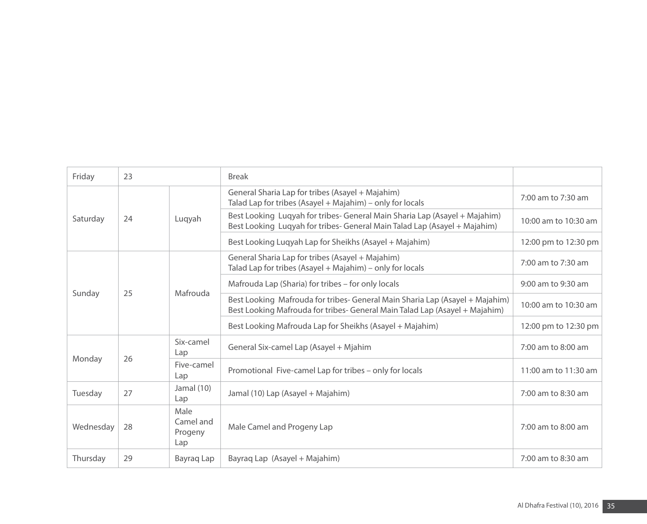| Friday    | 23 |                                     | <b>Break</b>                                                                                                                                                |                      |
|-----------|----|-------------------------------------|-------------------------------------------------------------------------------------------------------------------------------------------------------------|----------------------|
|           |    |                                     | General Sharia Lap for tribes (Asayel + Majahim)<br>Talad Lap for tribes (Asayel + Majahim) – only for locals                                               | 7:00 am to 7:30 am   |
| Saturday  | 24 | Luqyah                              | Best Looking Luqyah for tribes- General Main Sharia Lap (Asayel + Majahim)<br>Best Looking Lugyah for tribes- General Main Talad Lap (Asayel + Majahim)     | 10:00 am to 10:30 am |
|           |    |                                     | Best Looking Luqyah Lap for Sheikhs (Asayel + Majahim)                                                                                                      | 12:00 pm to 12:30 pm |
|           |    |                                     | General Sharia Lap for tribes (Asayel + Majahim)<br>Talad Lap for tribes (Asayel + Majahim) – only for locals                                               | 7:00 am to 7:30 am   |
| Sunday    |    | Mafrouda<br>25                      | Mafrouda Lap (Sharia) for tribes - for only locals                                                                                                          |                      |
|           |    |                                     | Best Looking Mafrouda for tribes- General Main Sharia Lap (Asayel + Majahim)<br>Best Looking Mafrouda for tribes- General Main Talad Lap (Asayel + Majahim) |                      |
|           |    |                                     | Best Looking Mafrouda Lap for Sheikhs (Asayel + Majahim)                                                                                                    | 12:00 pm to 12:30 pm |
|           | 26 | Six-camel<br>Lap                    | General Six-camel Lap (Asayel + Mjahim                                                                                                                      | 7:00 am to 8:00 am   |
| Monday    |    | Five-camel<br>Lap                   | Promotional Five-camel Lap for tribes - only for locals                                                                                                     | 11:00 am to 11:30 am |
| Tuesday   | 27 | Jamal (10)<br>Lap                   | Jamal (10) Lap (Asayel + Majahim)                                                                                                                           | 7:00 am to 8:30 am   |
| Wednesday | 28 | Male<br>Camel and<br>Progeny<br>Lap | Male Camel and Progeny Lap                                                                                                                                  | 7:00 am to 8:00 am   |
| Thursday  | 29 | Bayraq Lap                          | Bayraq Lap (Asayel + Majahim)                                                                                                                               | 7:00 am to 8:30 am   |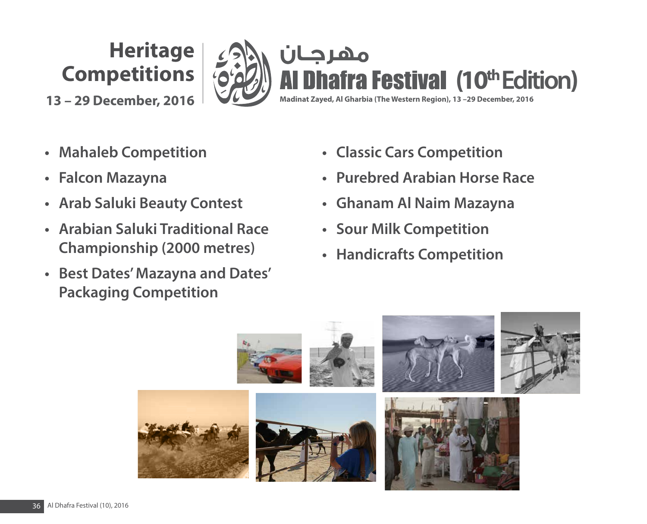### **Heritage Competitions**

**13 – 29 December, 2016**



- **• Mahaleb Competition**
- **• Falcon Mazayna**
- **• Arab Saluki Beauty Contest**
- **• Arabian Saluki Traditional Race Championship (2000 metres)**
- **• Best Dates' Mazayna and Dates' Packaging Competition**
- **• Classic Cars Competition**
- **• Purebred Arabian Horse Race**
- **• Ghanam Al Naim Mazayna**
- **• Sour Milk Competition**
- **• Handicrafts Competition**

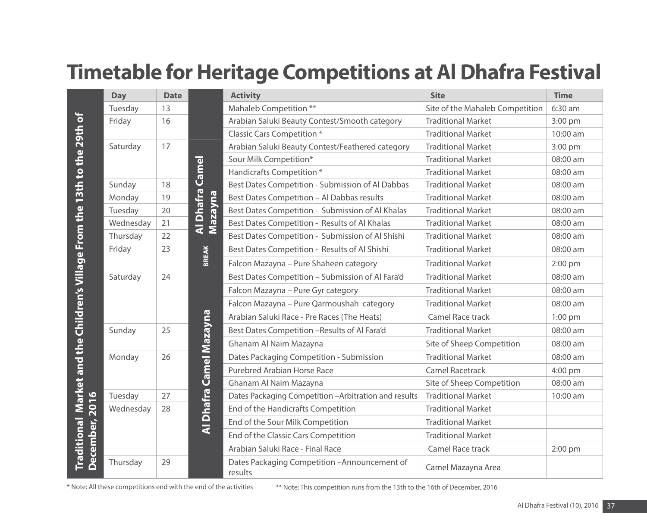### **Timetable for Heritage Competitions at Al Dhafra Festival**

|                                                                     | <b>Day</b> | <b>Date</b> |                         | <b>Activity</b>                                          | <b>Site</b>                     | <b>Time</b> |
|---------------------------------------------------------------------|------------|-------------|-------------------------|----------------------------------------------------------|---------------------------------|-------------|
|                                                                     | Tuesday    | 13          |                         | Mahaleb Competition **                                   | Site of the Mahaleb Competition | 6:30 am     |
| 13th to the 29th of                                                 | Friday     | 16          |                         | Arabian Saluki Beauty Contest/Smooth category            | <b>Traditional Market</b>       | 3:00 pm     |
|                                                                     |            |             |                         | <b>Classic Cars Competition*</b>                         | <b>Traditional Market</b>       | 10:00 am    |
|                                                                     | Saturday   | 17          |                         | Arabian Saluki Beauty Contest/Feathered category         | <b>Traditional Market</b>       | 3:00 pm     |
|                                                                     |            |             |                         | Sour Milk Competition*                                   | <b>Traditional Market</b>       | 08:00 am    |
|                                                                     |            |             | <b>Camel</b>            | Handicrafts Competition *                                | <b>Traditional Market</b>       | 08:00 am    |
|                                                                     | Sunday     | 18          |                         | Best Dates Competition - Submission of Al Dabbas         | <b>Traditional Market</b>       | 08:00 am    |
|                                                                     | Monday     | 19          |                         | Best Dates Competition - Al Dabbas results               | <b>Traditional Market</b>       | 08:00 am    |
|                                                                     | Tuesday    | 20          |                         | Best Dates Competition - Submission of Al Khalas         | <b>Traditional Market</b>       | 08:00 am    |
|                                                                     | Wednesday  | 21          | Al Dhafra<br>Mazayna    | Best Dates Competition - Results of Al Khalas            | <b>Traditional Market</b>       | 08:00 am    |
|                                                                     | Thursday   | 22          |                         | Best Dates Competition - Submission of Al Shishi         | <b>Traditional Market</b>       | 08:00 am    |
|                                                                     | Friday     | 23          | <b>BREAK</b>            | Best Dates Competition - Results of Al Shishi            | <b>Traditional Market</b>       | 08:00 am    |
|                                                                     |            |             |                         | Falcon Mazayna - Pure Shaheen category                   | <b>Traditional Market</b>       | 2:00 pm     |
|                                                                     | Saturday   | 24          |                         | Best Dates Competition - Submission of Al Fara'd         | <b>Traditional Market</b>       | 08:00 am    |
|                                                                     |            |             |                         | Falcon Mazayna - Pure Gyr category                       | <b>Traditional Market</b>       | 08:00 am    |
|                                                                     |            |             |                         | Falcon Mazayna - Pure Qarmoushah category                | <b>Traditional Market</b>       | 08:00 am    |
|                                                                     |            |             |                         | Arabian Saluki Race - Pre Races (The Heats)              | Camel Race track                | 1:00 pm     |
|                                                                     | Sunday     | 25          |                         | Best Dates Competition -Results of Al Fara'd             | <b>Traditional Market</b>       | 08:00 am    |
|                                                                     |            |             | Al Dhafra Camel Mazayna | Ghanam Al Naim Mazayna                                   | Site of Sheep Competition       | 08:00 am    |
|                                                                     | Monday     | 26          |                         | Dates Packaging Competition - Submission                 | <b>Traditional Market</b>       | 08:00 am    |
|                                                                     |            |             |                         | <b>Purebred Arabian Horse Race</b>                       | <b>Camel Racetrack</b>          | 4:00 pm     |
|                                                                     |            |             |                         | Ghanam Al Naim Mazayna                                   | Site of Sheep Competition       | 08:00 am    |
|                                                                     | Tuesday    | 27          |                         | Dates Packaging Competition - Arbitration and results    | <b>Traditional Market</b>       | 10:00 am    |
| 2016                                                                | Wednesday  | 28          |                         | End of the Handicrafts Competition                       | <b>Traditional Market</b>       |             |
|                                                                     |            |             |                         | End of the Sour Milk Competition                         | <b>Traditional Market</b>       |             |
|                                                                     |            |             |                         | End of the Classic Cars Competition                      | <b>Traditional Market</b>       |             |
|                                                                     |            |             |                         | Arabian Saluki Race - Final Race                         | Camel Race track                | 2:00 pm     |
| Traditional Market and the Children's Village From the<br>December, | Thursday   | 29          |                         | Dates Packaging Competition - Announcement of<br>results | Camel Mazayna Area              |             |

\* Note: All these competitions end with the end of the activities \*\* Note: This competition runs from the 13th to the 16th of December, 2016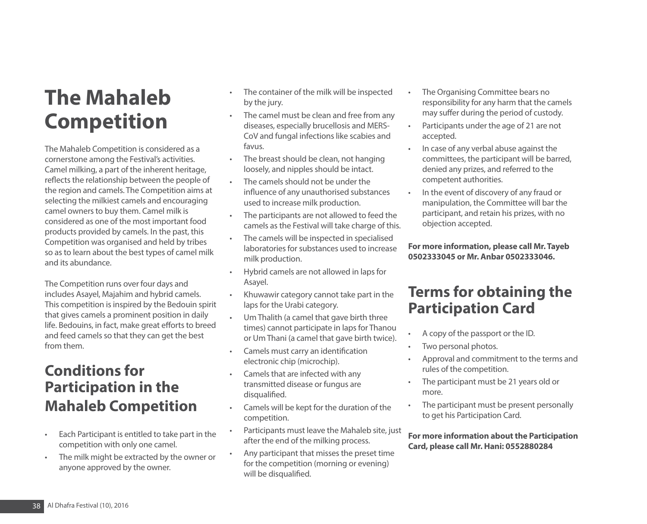### **The Mahaleb Competition**

The Mahaleb Competition is considered as a cornerstone among the Festival's activities. Camel milking, a part of the inherent heritage, reflects the relationship between the people of the region and camels. The Competition aims at selecting the milkiest camels and encouraging camel owners to buy them. Camel milk is considered as one of the most important food products provided by camels. In the past, this Competition was organised and held by tribes so as to learn about the best types of camel milk and its abundance.

The Competition runs over four days and includes Asayel, Majahim and hybrid camels. This competition is inspired by the Bedouin spirit that gives camels a prominent position in daily life. Bedouins, in fact, make great efforts to breed and feed camels so that they can get the best from them.

### **Conditions for Participation in the Mahaleb Competition**

- Each Participant is entitled to take part in the competition with only one camel.
- The milk might be extracted by the owner or anyone approved by the owner.
- The container of the milk will be inspected by the jury.
- The camel must be clean and free from any diseases, especially brucellosis and MERS‐ CoV and fungal infections like scabies and favus.
- The breast should be clean, not hanging loosely, and nipples should be intact.
- The camels should not be under the influence of any unauthorised substances used to increase milk production.
- The participants are not allowed to feed the camels as the Festival will take charge of this.
- The camels will be inspected in specialised laboratories for substances used to increase milk production.
- Hybrid camels are not allowed in laps for Asayel.
- Khuwawir category cannot take part in the laps for the Urabi category.
- Um Thalith (a camel that gave birth three times) cannot participate in laps for Thanou or Um Thani (a camel that gave birth twice).
- Camels must carry an identification electronic chip (microchip).
- Camels that are infected with any transmitted disease or fungus are disqualified.
- Camels will be kept for the duration of the competition.
- Participants must leave the Mahaleb site, just after the end of the milking process.
- Any participant that misses the preset time for the competition (morning or evening) will be disqualified.
- The Organising Committee bears no responsibility for any harm that the camels may suffer during the period of custody.
- Participants under the age of 21 are not accepted.
- In case of any verbal abuse against the committees, the participant will be barred, denied any prizes, and referred to the competent authorities.
- In the event of discovery of any fraud or manipulation, the Committee will bar the participant, and retain his prizes, with no objection accepted.

### **For more information, please call Mr. Tayeb 0502333045 or Mr. Anbar 0502333046.**

### **Terms for obtaining the Participation Card**

- A copy of the passport or the ID.
- Two personal photos.
- Approval and commitment to the terms and rules of the competition.
- The participant must be 21 years old or more.
- The participant must be present personally to get his Participation Card.

**For more information about the Participation Card, please call Mr. Hani: 0552880284**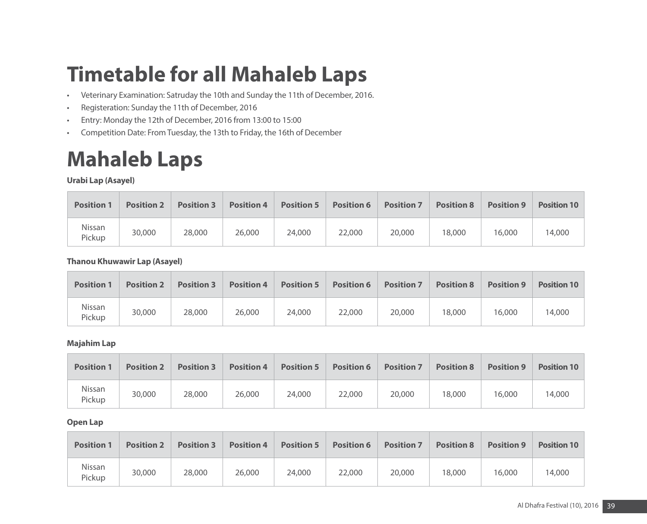# **Timetable for all Mahaleb Laps**

- Veterinary Examination: Satruday the 10th and Sunday the 11th of December, 2016.
- Registeration: Sunday the 11th of December, 2016
- Entry: Monday the 12th of December, 2016 from 13:00 to 15:00
- Competition Date: From Tuesday, the 13th to Friday, the 16th of December

# **Mahaleb Laps**

**Urabi Lap (Asayel)**

| <b>Position 1</b> | <b>Position 2</b> | <b>Position 3</b> | <b>Position 4</b> | <b>Position 5</b> | <b>Position 6</b> | <b>Position 7</b> | <b>Position 8</b> | <b>Position 9</b> | <b>Position 10</b> |
|-------------------|-------------------|-------------------|-------------------|-------------------|-------------------|-------------------|-------------------|-------------------|--------------------|
| Nissan<br>Pickup  | 30,000            | 28,000            | 26,000            | 24,000            | 22,000            | 20,000            | 18,000            | 16,000            | 14,000             |

### **Thanou Khuwawir Lap (Asayel)**

| <b>Position 1</b> | <b>Position 2</b> | <b>Position 3</b> | <b>Position 4</b> | <b>Position 5</b> | <b>Position 6</b> | <b>Position 7</b> | <b>Position 8</b> | <b>Position 9</b> | <b>Position 10</b> |
|-------------------|-------------------|-------------------|-------------------|-------------------|-------------------|-------------------|-------------------|-------------------|--------------------|
| Nissan<br>Pickup  | 30,000            | 28,000            | 26,000            | 24,000            | 22,000            | 20,000            | 18,000            | 16,000            | 14,000             |

#### **Majahim Lap**

| <b>Position 1</b> | <b>Position 2</b> | <b>Position 3</b> | <b>Position 4</b> | <b>Position 5</b> | <b>Position 6</b> | <b>Position 7</b> | <b>Position 8</b> | <b>Position 9</b> | <b>Position 10</b> |
|-------------------|-------------------|-------------------|-------------------|-------------------|-------------------|-------------------|-------------------|-------------------|--------------------|
| Nissan<br>Pickup  | 30,000            | 28,000            | 26,000            | 24,000            | 22,000            | 20,000            | 18,000            | 16,000            | 14,000             |

### **Open Lap**

| <b>Position 1</b> | <b>Position 2</b> | <b>Position 3</b> | <b>Position 4</b> | <b>Position 5</b> | <b>Position 6</b> | <b>Position 7</b> | <b>Position 8</b> | <b>Position 9</b> | <b>Position 10</b> |
|-------------------|-------------------|-------------------|-------------------|-------------------|-------------------|-------------------|-------------------|-------------------|--------------------|
| Nissan<br>Pickup  | 30,000            | 28,000            | 26,000            | 24,000            | 22,000            | 20,000            | 18,000            | 16,000            | 14,000             |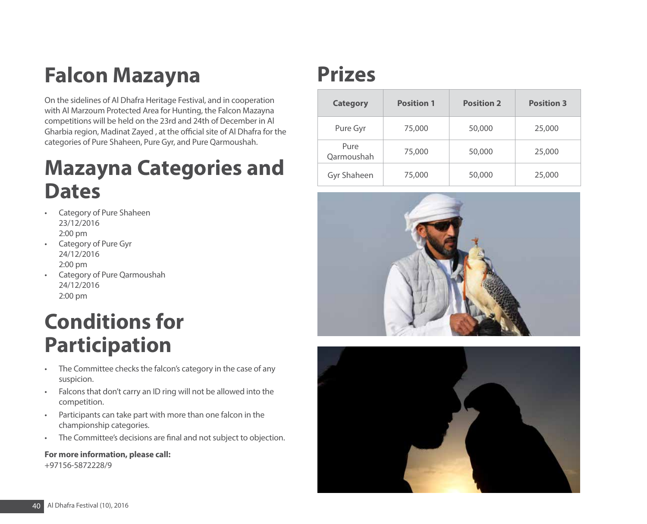# **Falcon Mazayna**

On the sidelines of Al Dhafra Heritage Festival, and in cooperation with Al Marzoum Protected Area for Hunting, the Falcon Mazayna competitions will be held on the 23rd and 24th of December in Al Gharbia region, Madinat Zayed , at the official site of Al Dhafra for the categories of Pure Shaheen, Pure Gyr, and Pure Qarmoushah.

### **Mazayna Categories and Dates**

- Category of Pure Shaheen 23/12/2016 2:00 pm
- Category of Pure Gyr 24/12/2016 2:00 pm
- Category of Pure Qarmoushah 24/12/2016 2:00 pm

### **Conditions for Participation**

- The Committee checks the falcon's category in the case of any suspicion.
- Falcons that don't carry an ID ring will not be allowed into the competition.
- Participants can take part with more than one falcon in the championship categories.
- The Committee's decisions are final and not subject to objection.

#### **For more information, please call:** +97156-5872228/9

| <b>Category</b>    | <b>Position 1</b> | <b>Position 2</b> | <b>Position 3</b> |
|--------------------|-------------------|-------------------|-------------------|
| Pure Gyr           | 75,000            | 50,000            | 25,000            |
| Pure<br>Qarmoushah | 75,000            | 50,000            | 25,000            |
| Gyr Shaheen        | 75,000            | 50,000            | 25,000            |



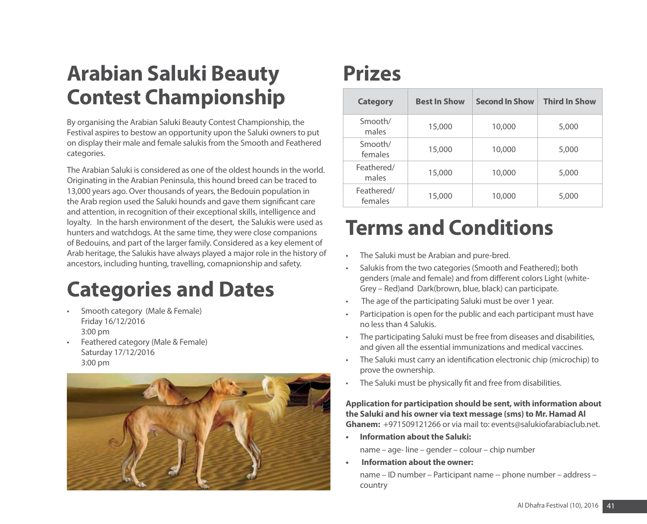### **Arabian Saluki Beauty Prizes Contest Championship**

By organising the Arabian Saluki Beauty Contest Championship, the Festival aspires to bestow an opportunity upon the Saluki owners to put on display their male and female salukis from the Smooth and Feathered categories.

The Arabian Saluki is considered as one of the oldest hounds in the world. Originating in the Arabian Peninsula, this hound breed can be traced to 13,000 years ago. Over thousands of years, the Bedouin population in the Arab region used the Saluki hounds and gave them significant care and attention, in recognition of their exceptional skills, intelligence and loyalty. In the harsh environment of the desert, the Salukis were used as hunters and watchdogs. At the same time, they were close companions of Bedouins, and part of the larger family. Considered as a key element of Arab heritage, the Salukis have always played a major role in the history of ancestors, including hunting, travelling, comapnionship and safety.

### **Categories and Dates**

- Smooth category (Male & Female) Friday 16/12/2016 3:00 pm
- Feathered category (Male & Female) Saturday 17/12/2016 3:00 pm



| <b>Category</b>       | <b>Best In Show</b> | <b>Second In Show</b> | <b>Third In Show</b> |
|-----------------------|---------------------|-----------------------|----------------------|
| Smooth/<br>males      | 15,000              | 10,000                | 5,000                |
| Smooth/<br>females    | 15,000              | 10,000                | 5,000                |
| Feathered/<br>males   | 15,000              | 10,000                | 5,000                |
| Feathered/<br>females | 15,000              | 10,000                | 5,000                |

## **Terms and Conditions**

- The Saluki must be Arabian and pure-bred.
- Salukis from the two categories (Smooth and Feathered); both genders (male and female) and from different colors Light (white-Grey – Red)and Dark(brown, blue, black) can participate.
- The age of the participating Saluki must be over 1 year.
- Participation is open for the public and each participant must have no less than 4 Salukis.
- The participating Saluki must be free from diseases and disabilities, and given all the essential immunizations and medical vaccines.
- The Saluki must carry an identification electronic chip (microchip) to prove the ownership.
- The Saluki must be physically fit and free from disabilities.

**Application for participation should be sent, with information about the Saluki and his owner via text message (sms) to Mr. Hamad Al Ghanem:** +971509121266 or via mail to: events@salukiofarabiaclub.net.

**• Information about the Saluki:** 

name – age- line – gender – colour – chip number

**• Information about the owner:** 

name – ID number – Participant name -- phone number – address – country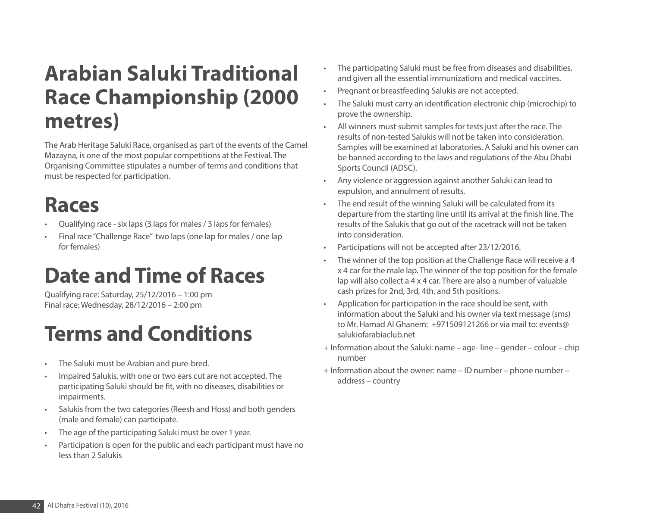### **Arabian Saluki Traditional Race Championship (2000 metres)**

The Arab Heritage Saluki Race, organised as part of the events of the Camel Mazayna, is one of the most popular competitions at the Festival. The Organising Committee stipulates a number of terms and conditions that must be respected for participation.

### **Races**

- Qualifying race six laps (3 laps for males / 3 laps for females)
- Final race "Challenge Race" two laps (one lap for males / one lap for females)

# **Date and Time of Races**

Qualifying race: Saturday, 25/12/2016 – 1:00 pm Final race: Wednesday, 28/12/2016 – 2:00 pm

# **Terms and Conditions**

- The Saluki must be Arabian and pure-bred.
- Impaired Salukis, with one or two ears cut are not accepted. The participating Saluki should be fit, with no diseases, disabilities or impairments.
- Salukis from the two categories (Reesh and Hoss) and both genders (male and female) can participate.
- The age of the participating Saluki must be over 1 year.
- Participation is open for the public and each participant must have no less than 2 Salukis
- The participating Saluki must be free from diseases and disabilities, and given all the essential immunizations and medical vaccines.
- Pregnant or breastfeeding Salukis are not accepted.
- The Saluki must carry an identification electronic chip (microchip) to prove the ownership.
- All winners must submit samples for tests just after the race. The results of non-tested Salukis will not be taken into consideration. Samples will be examined at laboratories. A Saluki and his owner can be banned according to the laws and regulations of the Abu Dhabi Sports Council (ADSC).
- Any violence or aggression against another Saluki can lead to expulsion, and annulment of results.
- The end result of the winning Saluki will be calculated from its departure from the starting line until its arrival at the finish line. The results of the Salukis that go out of the racetrack will not be taken into consideration.
- Participations will not be accepted after 23/12/2016.
- The winner of the top position at the Challenge Race will receive a 4 x 4 car for the male lap. The winner of the top position for the female lap will also collect a 4 x 4 car. There are also a number of valuable cash prizes for 2nd, 3rd, 4th, and 5th positions.
- Application for participation in the race should be sent, with information about the Saluki and his owner via text message (sms) to Mr. Hamad Al Ghanem: +971509121266 or via mail to: events@ salukiofarabiaclub.net
- + Information about the Saluki: name age- line gender colour chip number
- + Information about the owner: name ID number phone number address – country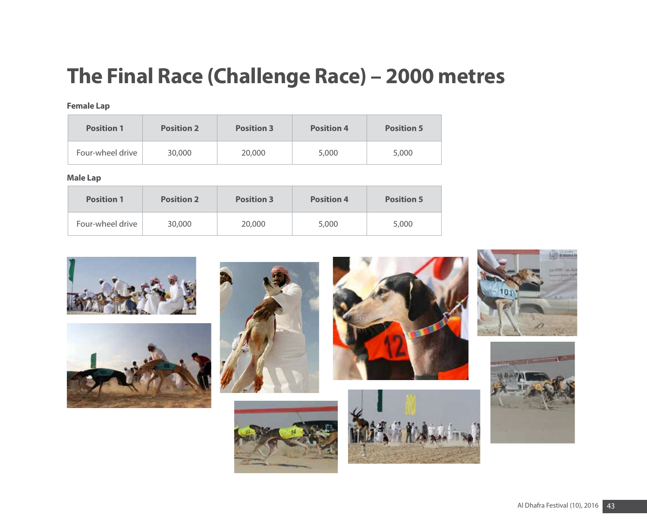# **The Final Race (Challenge Race) – 2000 metres**

### **Female Lap**

| <b>Position 1</b> | <b>Position 2</b> | <b>Position 3</b> | <b>Position 4</b> | <b>Position 5</b> |
|-------------------|-------------------|-------------------|-------------------|-------------------|
| Four-wheel drive  | 30,000            | 20,000            | 5,000             | 5,000             |

### **Male Lap**

| <b>Position 1</b> | <b>Position 2</b> | <b>Position 3</b> | <b>Position 4</b> | <b>Position 5</b> |
|-------------------|-------------------|-------------------|-------------------|-------------------|
| Four-wheel drive  | 30,000            | 20,000            | 5,000             | 5,000             |















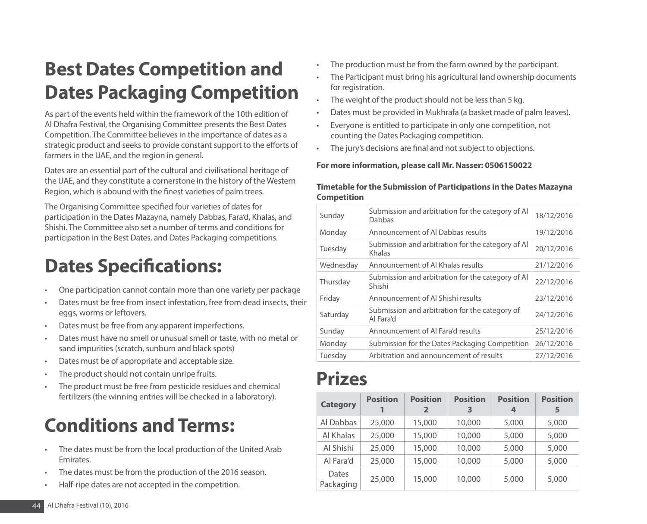### **Best Dates Competition and Dates Packaging Competition**

As part of the events held within the framework of the 10th edition of Al Dhafra Festival, the Organising Committee presents the Best Dates Competition. The Committee believes in the importance of dates as a strategic product and seeks to provide constant support to the efforts of farmers in the UAE, and the region in general.

Dates are an essential part of the cultural and civilisational heritage of the UAE, and they constitute a cornerstone in the history of the Western Region, which is abound with the finest varieties of palm trees.

The Organising Committee specified four varieties of dates for participation in the Dates Mazayna, namely Dabbas, Fara'd, Khalas, and Shishi. The Committee also set a number of terms and conditions for participation in the Best Dates, and Dates Packaging competitions.

### **Dates Specifications:**

- One participation cannot contain more than one variety per package
- Dates must be free from insect infestation, free from dead insects, their eggs, worms or leftovers.
- Dates must be free from any apparent imperfections.
- Dates must have no smell or unusual smell or taste, with no metal or sand impurities (scratch, sunburn and black spots)
- Dates must be of appropriate and acceptable size.
- The product should not contain unripe fruits.
- The product must be free from pesticide residues and chemical fertilizers (the winning entries will be checked in a laboratory).

### **Conditions and Terms:**

- The dates must be from the local production of the United Arab Emirates.
- The dates must be from the production of the 2016 season.
- Half-ripe dates are not accepted in the competition.
- The production must be from the farm owned by the participant.
- The Participant must bring his agricultural land ownership documents for registration.
- The weight of the product should not be less than 5 kg.
- Dates must be provided in Mukhrafa (a basket made of palm leaves).
- Everyone is entitled to participate in only one competition, not counting the Dates Packaging competition.
- The jury's decisions are final and not subject to objections.

### **For more information, please call Mr. Nasser: 0506150022**

### **Timetable for the Submission of Participations in the Dates Mazayna Competition**

| Sunday    | Submission and arbitration for the category of Al<br>Dabbas | 18/12/2016 |
|-----------|-------------------------------------------------------------|------------|
| Monday    | Announcement of Al Dabbas results                           | 19/12/2016 |
| Tuesday   | Submission and arbitration for the category of Al<br>Khalas | 20/12/2016 |
| Wednesday | Announcement of Al Khalas results                           | 21/12/2016 |
| Thursday  | Submission and arbitration for the category of Al<br>Shishi | 22/12/2016 |
| Friday    | Announcement of Al Shishi results                           | 23/12/2016 |
| Saturday  | Submission and arbitration for the category of<br>Al Fara'd | 24/12/2016 |
| Sunday    | Announcement of Al Fara'd results                           | 25/12/2016 |
| Monday    | Submission for the Dates Packaging Competition              | 26/12/2016 |
| Tuesday   | Arbitration and announcement of results                     | 27/12/2016 |

| <b>Category</b>    | <b>Position</b> | <b>Position</b><br>$\overline{\mathbf{2}}$ | <b>Position</b><br>3 | <b>Position</b><br>4 | <b>Position</b><br>5 |
|--------------------|-----------------|--------------------------------------------|----------------------|----------------------|----------------------|
| Al Dabbas          | 25,000          | 15,000                                     | 10,000               | 5,000                | 5,000                |
| Al Khalas          | 25,000          | 15,000                                     | 10,000               | 5,000                | 5,000                |
| Al Shishi          | 25,000          | 15,000                                     | 10,000               | 5,000                | 5,000                |
| Al Fara'd          | 25,000          | 15,000                                     | 10,000               | 5,000                | 5,000                |
| Dates<br>Packaging | 25,000          | 15,000                                     | 10,000               | 5,000                | 5,000                |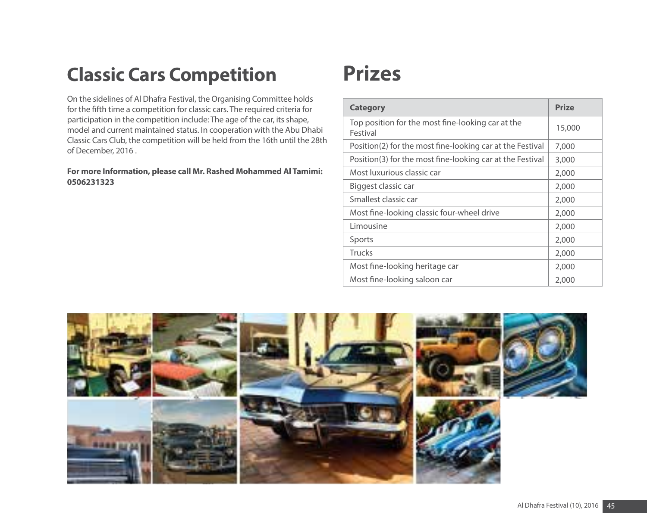### **Classic Cars Competition**

On the sidelines of Al Dhafra Festival, the Organising Committee holds for the fifth time a competition for classic cars. The required criteria for participation in the competition include: The age of the car, its shape, model and current maintained status. In cooperation with the Abu Dhabi Classic Cars Club, the competition will be held from the 16th until the 28th of December, 2016 .

**For more Information, please call Mr. Rashed Mohammed Al Tamimi: 0506231323**

| <b>Category</b>                                               | Prize  |
|---------------------------------------------------------------|--------|
| Top position for the most fine-looking car at the<br>Festival | 15,000 |
| Position(2) for the most fine-looking car at the Festival     | 7,000  |
| Position(3) for the most fine-looking car at the Festival     | 3,000  |
| Most Iuxurious classic car                                    | 2,000  |
| Biggest classic car                                           | 2,000  |
| Smallest classic car                                          | 2,000  |
| Most fine-looking classic four-wheel drive                    | 2,000  |
| Limousine                                                     | 2,000  |
| Sports                                                        | 2,000  |
| <b>Trucks</b>                                                 | 2,000  |
| Most fine-looking heritage car                                | 2,000  |
| Most fine-looking saloon car                                  | 2,000  |

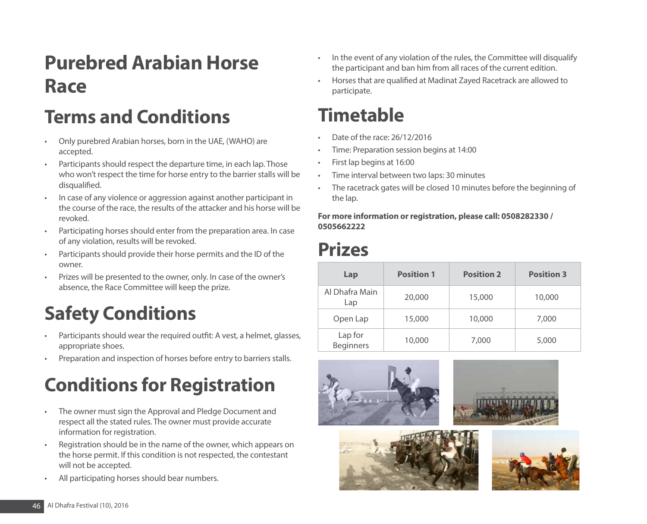### **Purebred Arabian Horse Race**

### **Terms and Conditions**

- Only purebred Arabian horses, born in the UAE, (WAHO) are accepted.
- Participants should respect the departure time, in each lap. Those who won't respect the time for horse entry to the barrier stalls will be disqualified.
- In case of any violence or aggression against another participant in the course of the race, the results of the attacker and his horse will be revoked.
- Participating horses should enter from the preparation area. In case of any violation, results will be revoked.
- Participants should provide their horse permits and the ID of the owner.
- Prizes will be presented to the owner, only. In case of the owner's absence, the Race Committee will keep the prize.

### **Safety Conditions**

- Participants should wear the required outfit: A vest, a helmet, glasses, appropriate shoes.
- Preparation and inspection of horses before entry to barriers stalls.

### **Conditions for Registration**

- The owner must sign the Approval and Pledge Document and respect all the stated rules. The owner must provide accurate information for registration.
- Registration should be in the name of the owner, which appears on the horse permit. If this condition is not respected, the contestant will not be accepted.
- All participating horses should bear numbers.
- In the event of any violation of the rules, the Committee will disqualify the participant and ban him from all races of the current edition.
- Horses that are qualified at Madinat Zayed Racetrack are allowed to participate.

### **Timetable**

- Date of the race: 26/12/2016
- Time: Preparation session begins at 14:00
- First lap begins at 16:00
- Time interval between two laps: 30 minutes
- The racetrack gates will be closed 10 minutes before the beginning of the lap.

### **For more information or registration, please call: 0508282330 / 0505662222**

| Lap                         | <b>Position 1</b> | <b>Position 2</b> | <b>Position 3</b> |
|-----------------------------|-------------------|-------------------|-------------------|
| Al Dhafra Main<br>Lap       | 20,000            | 15,000            | 10,000            |
| Open Lap                    | 15,000            | 10,000            | 7,000             |
| Lap for<br><b>Beginners</b> | 10,000            | 7,000             | 5,000             |







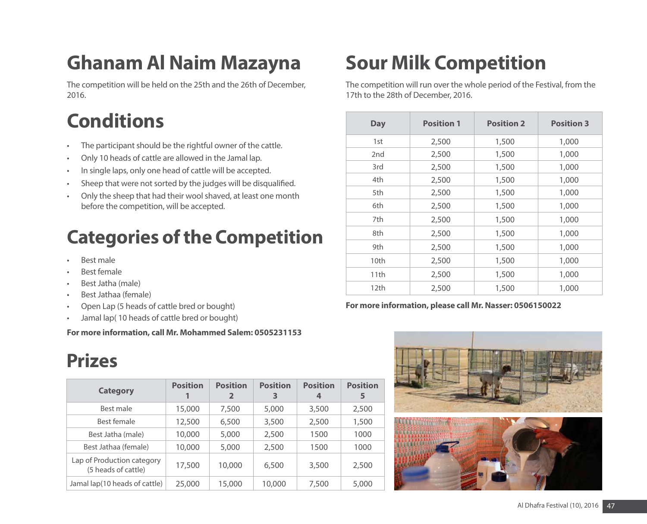### **Ghanam Al Naim Mazayna**

The competition will be held on the 25th and the 26th of December, 2016.

### **Conditions**

- The participant should be the rightful owner of the cattle.
- Only 10 heads of cattle are allowed in the Jamal lap.
- In single laps, only one head of cattle will be accepted.
- Sheep that were not sorted by the judges will be disqualified.
- Only the sheep that had their wool shaved, at least one month before the competition, will be accepted.

### **Categories of the Competition**

- Best male
- Best female
- Best Jatha (male)
- Best Jathaa (female)
- Open Lap (5 heads of cattle bred or bought)
- Jamal lap( 10 heads of cattle bred or bought)

**For more information, call Mr. Mohammed Salem: 0505231153**

### **Prizes**

| <b>Category</b>                                   | <b>Position</b> | <b>Position</b><br>$\overline{2}$ | <b>Position</b><br>3 | <b>Position</b><br>4 | <b>Position</b><br>5 |
|---------------------------------------------------|-----------------|-----------------------------------|----------------------|----------------------|----------------------|
| Best male                                         | 15,000          | 7,500                             | 5,000                | 3,500                | 2,500                |
| Best female                                       | 12,500          | 6,500                             | 3,500                | 2,500                | 1,500                |
| Best Jatha (male)                                 | 10,000          | 5,000                             | 2,500                | 1500                 | 1000                 |
| Best Jathaa (female)                              | 10,000          | 5,000                             | 2,500                | 1500                 | 1000                 |
| Lap of Production category<br>(5 heads of cattle) | 17,500          | 10,000                            | 6,500                | 3,500                | 2,500                |
| Jamal lap(10 heads of cattle)                     | 25,000          | 15,000                            | 10,000               | 7,500                | 5,000                |

### **Sour Milk Competition**

The competition will run over the whole period of the Festival, from the 17th to the 28th of December, 2016.

| <b>Day</b>      | <b>Position 1</b> | <b>Position 2</b> | <b>Position 3</b> |
|-----------------|-------------------|-------------------|-------------------|
| 1st             | 2,500             | 1,500             | 1,000             |
| 2 <sub>nd</sub> | 2,500             | 1,500             | 1,000             |
| 3rd             | 2,500             | 1,500             | 1,000             |
| 4th             | 2,500             | 1,500             | 1,000             |
| 5th             | 2,500             | 1,500             | 1,000             |
| 6th             | 2,500             | 1,500             | 1,000             |
| 7th             | 2,500             | 1,500             | 1,000             |
| 8th             | 2,500             | 1,500             | 1,000             |
| 9th             | 2,500             | 1,500             | 1,000             |
| 10th            | 2,500             | 1,500             | 1,000             |
| 11th            | 2,500             | 1,500             | 1,000             |
| 12th            | 2,500             | 1,500             | 1,000             |

**For more information, please call Mr. Nasser: 0506150022**

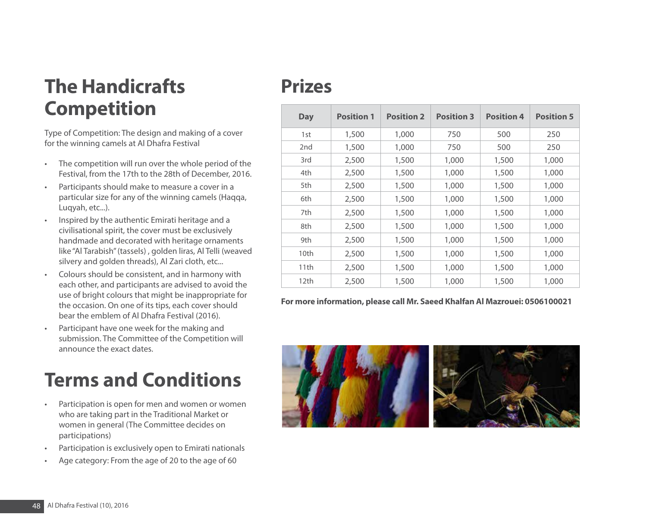### **The Handicrafts Competition**

Type of Competition: The design and making of a cover for the winning camels at Al Dhafra Festival

- The competition will run over the whole period of the Festival, from the 17th to the 28th of December, 2016.
- Participants should make to measure a cover in a particular size for any of the winning camels (Haqqa, Luqyah, etc...).
- Inspired by the authentic Emirati heritage and a civilisational spirit, the cover must be exclusively handmade and decorated with heritage ornaments like "Al Tarabish" (tassels) , golden liras, Al Telli (weaved silvery and golden threads), Al Zari cloth, etc...
- Colours should be consistent, and in harmony with each other, and participants are advised to avoid the use of bright colours that might be inappropriate for the occasion. On one of its tips, each cover should bear the emblem of Al Dhafra Festival (2016).
- Participant have one week for the making and submission. The Committee of the Competition will announce the exact dates.

### **Terms and Conditions**

- Participation is open for men and women or women who are taking part in the Traditional Market or women in general (The Committee decides on participations)
- Participation is exclusively open to Emirati nationals
- Age category: From the age of 20 to the age of 60

### **Prizes**

| <b>Day</b>      | <b>Position 1</b> | <b>Position 2</b> | <b>Position 3</b> | <b>Position 4</b> | <b>Position 5</b> |
|-----------------|-------------------|-------------------|-------------------|-------------------|-------------------|
| 1st             | 1,500             | 1,000             | 750               | 500               | 250               |
| 2 <sub>nd</sub> | 1,500             | 1,000             | 750               | 500               | 250               |
| 3rd             | 2,500             | 1,500             | 1,000             | 1,500             | 1,000             |
| 4th             | 2,500             | 1,500             | 1,000             | 1,500             | 1,000             |
| 5th             | 2,500             | 1,500             | 1,000             | 1,500             | 1,000             |
| 6th             | 2,500             | 1,500             | 1,000             | 1,500             | 1,000             |
| 7th             | 2,500             | 1,500             | 1,000             | 1,500             | 1,000             |
| 8th             | 2,500             | 1,500             | 1,000             | 1,500             | 1,000             |
| 9th             | 2,500             | 1,500             | 1,000             | 1,500             | 1,000             |
| 10th            | 2,500             | 1,500             | 1,000             | 1,500             | 1,000             |
| 11th            | 2,500             | 1,500             | 1,000             | 1,500             | 1,000             |
| 12th            | 2,500             | 1,500             | 1,000             | 1,500             | 1,000             |

### **For more information, please call Mr. Saeed Khalfan Al Mazrouei: 0506100021**

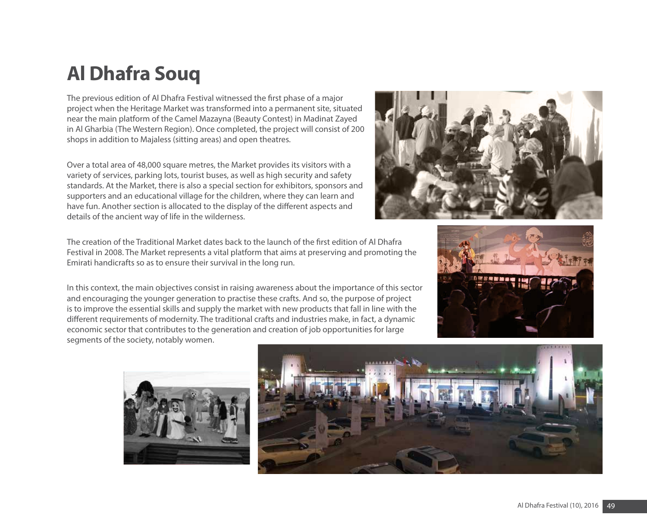### **Al Dhafra Souq**

The previous edition of Al Dhafra Festival witnessed the first phase of a major project when the Heritage Market was transformed into a permanent site, situated near the main platform of the Camel Mazayna (Beauty Contest) in Madinat Zayed in Al Gharbia (The Western Region). Once completed, the project will consist of 200 shops in addition to Majaless (sitting areas) and open theatres.

Over a total area of 48,000 square metres, the Market provides its visitors with a variety of services, parking lots, tourist buses, as well as high security and safety standards. At the Market, there is also a special section for exhibitors, sponsors and supporters and an educational village for the children, where they can learn and have fun. Another section is allocated to the display of the different aspects and details of the ancient way of life in the wilderness.

The creation of the Traditional Market dates back to the launch of the first edition of Al Dhafra Festival in 2008. The Market represents a vital platform that aims at preserving and promoting the Emirati handicrafts so as to ensure their survival in the long run.

In this context, the main objectives consist in raising awareness about the importance of this sector and encouraging the younger generation to practise these crafts. And so, the purpose of project is to improve the essential skills and supply the market with new products that fall in line with the different requirements of modernity. The traditional crafts and industries make, in fact, a dynamic economic sector that contributes to the generation and creation of job opportunities for large segments of the society, notably women.







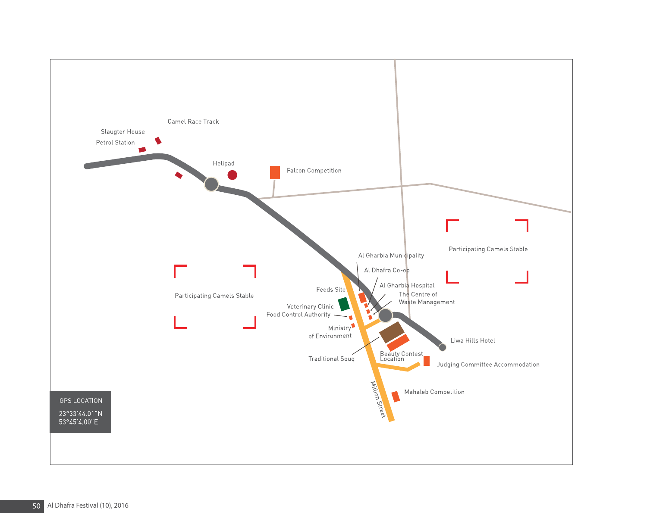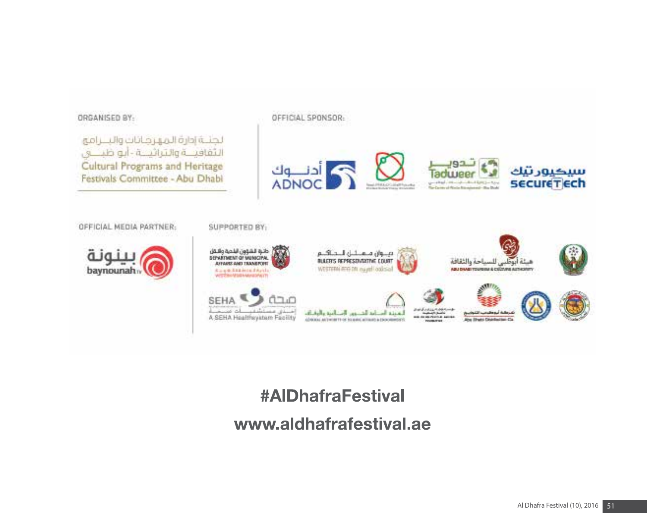### ORGANISED BY:

لحثية إدارة المهرماتات والسرامي الثقافيا والتراثيلة -أبو ظباق Cultural Programs and Heritage Festivals Committee - Abu Dhabi

OFFICIAL SPONSOR:









### **#AlDhafraFestival**

### www.aldhafrafestival.ae